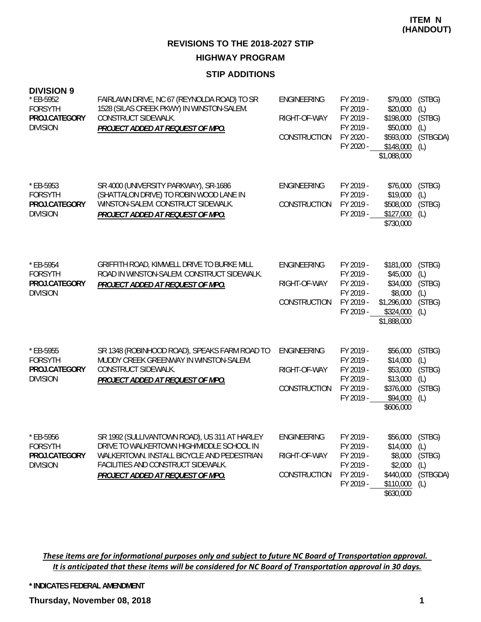# **HIGHWAY PROGRAM**

# **STIP ADDITIONS**

| <b>DIVISION 9</b><br>* EB-5952<br><b>FORSYTH</b><br>PROJ.CATEGORY<br><b>DIVISION</b> | FAIRLAWN DRIVE, NC 67 (REYNOLDA ROAD) TO SR<br>1528 (SILAS CREEK PKWY) IN WINSTON-SALEM.<br>CONSTRUCT SIDEWALK.<br>PROJECT ADDED AT REQUEST OF MPO.                                                                | ENGINEERING<br>RIGHT-OF-WAY<br>CONSTRUCTION        | FY 2019 -<br>FY 2019 -<br>FY 2019 -<br>FY 2019 -<br>FY 2020 -<br>FY 2020 - | \$79,000<br>\$20,000<br>\$198,000<br>\$50,000<br>\$593,000<br>\$148,000<br>\$1,088,000  | (STBG)<br>(L)<br>(STBG)<br>(L)<br>(STBGDA)<br>(L) |
|--------------------------------------------------------------------------------------|--------------------------------------------------------------------------------------------------------------------------------------------------------------------------------------------------------------------|----------------------------------------------------|----------------------------------------------------------------------------|-----------------------------------------------------------------------------------------|---------------------------------------------------|
| * EB-5953<br><b>FORSYTH</b><br>PROJ.CATEGORY<br><b>DIVISION</b>                      | SR 4000 (UNIVERSITY PARKWAY), SR-1686<br>(SHATTALON DRIVE) TO ROBIN WOOD LANE IN<br>WINSTON-SALEM. CONSTRUCT SIDEWALK.<br>PROJECT ADDED AT REQUEST OF MPO.                                                         | <b>ENGINEERING</b><br>CONSTRUCTION                 | FY 2019 -<br>FY 2019 -<br>FY 2019 -<br>FY 2019 -                           | \$76,000<br>\$19,000<br>\$508,000<br>\$127,000<br>\$730,000                             | (STBG)<br>(L)<br>(STBG)<br>(L)                    |
| * EB-5954<br><b>FORSYTH</b><br>PROJ.CATEGORY<br><b>DIVISION</b>                      | GRIFFITH ROAD, KIMWELL DRIVE TO BURKE MILL<br>ROAD IN WINSTON-SALEM. CONSTRUCT SIDEWALK.<br>PROJECT ADDED AT REQUEST OF MPO.                                                                                       | <b>ENGINEERING</b><br>RIGHT-OF-WAY<br>CONSTRUCTION | FY 2019 -<br>FY 2019 -<br>FY 2019 -<br>FY 2019 -<br>FY 2019 -<br>FY 2019 - | \$181,000<br>\$45,000<br>\$34,000<br>\$8,000<br>\$1,296,000<br>\$324,000<br>\$1,888,000 | (STBG)<br>(L)<br>(STBG)<br>(L)<br>(STBG)<br>(L)   |
| * EB-5955<br><b>FORSYTH</b><br>PROJ.CATEGORY<br><b>DIVISION</b>                      | SR 1348 (ROBINHOOD ROAD), SPEAKS FARM ROAD TO<br>MUDDY CREEK GREENWAY IN WINSTON-SALEM.<br>CONSTRUCT SIDEWALK.<br>PROJECT ADDED AT REQUEST OF MPO.                                                                 | <b>ENGINEERING</b><br>RIGHT-OF-WAY<br>CONSTRUCTION | FY 2019 -<br>FY 2019 -<br>FY 2019 -<br>FY 2019 -<br>FY 2019 -<br>FY 2019 - | \$56,000<br>\$14,000<br>\$53,000<br>\$13,000<br>\$376,000<br>\$94,000<br>\$606,000      | (STBG)<br>(L)<br>(STBG)<br>(L)<br>(STBG)<br>(L)   |
| * EB-5956<br><b>FORSYTH</b><br>PROJ.CATEGORY<br><b>DIVISION</b>                      | SR 1992 (SULLIVANTOWN ROAD), US 311 AT HARLEY<br>DRIVE TO WALKERTOWN HIGH/MIDDLE SCHOOL IN<br>WALKERTOWN. INSTALL BICYCLE AND PEDESTRIAN<br>FACILITIES AND CONSTRUCT SIDEWALK.<br>PROJECT ADDED AT REQUEST OF MPO. | <b>ENGINEERING</b><br>RIGHT-OF-WAY<br>CONSTRUCTION | FY 2019 -<br>FY 2019 -<br>FY 2019 -<br>FY 2019 -<br>FY 2019 -<br>FY 2019 - | \$56,000<br>\$14,000<br>\$8,000<br>\$2,000<br>\$440,000<br>\$110,000<br>\$630,000       | (STBG)<br>(L)<br>(STBG)<br>(L)<br>(STBGDA)<br>(L) |

#### These items are for informational purposes only and subject to future NC Board of Transportation approval. It is anticipated that these items will be considered for NC Board of Transportation approval in 30 days.

#### **\* INDICATES FEDERAL AMENDMENT**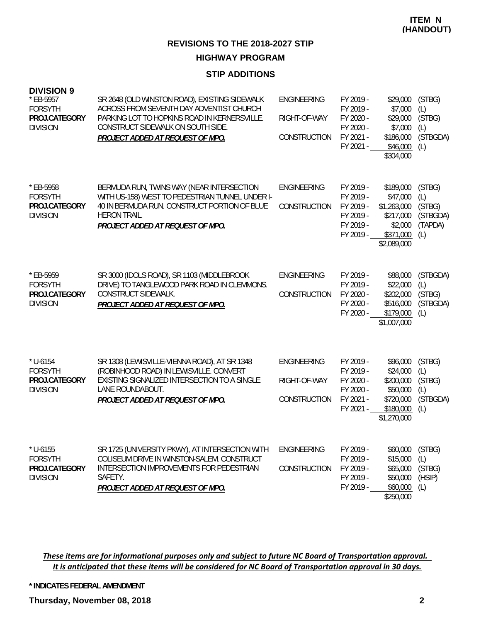**HIGHWAY PROGRAM**

# **STIP ADDITIONS**

| <b>DIVISION 9</b><br>* EB-5957<br><b>FORSYTH</b><br>PROJ.CATEGORY<br><b>DIVISION</b> | SR 2648 (OLD WINSTON ROAD), EXISTING SIDEWALK<br>ACROSS FROM SEVENTH DAY ADVENTIST CHURCH<br>PARKING LOT TO HOPKINS ROAD IN KERNERSVILLE.<br>CONSTRUCT SIDEWALK ON SOUTH SIDE.<br>PROJECT ADDED AT REQUEST OF MPO. | <b>ENGINEERING</b><br>RIGHT-OF-WAY<br><b>CONSTRUCTION</b> | FY 2019 -<br>FY 2019 -<br>FY 2020 -<br>FY 2020 -<br>FY 2021 -<br>FY 2021 - | \$29,000<br>\$7,000<br>\$29,000<br>\$7,000<br>\$186,000<br>\$46,000<br>\$304,000         | (STBG)<br>(L)<br>(STBG)<br>(L)<br>(STBGDA)<br>(L)     |
|--------------------------------------------------------------------------------------|--------------------------------------------------------------------------------------------------------------------------------------------------------------------------------------------------------------------|-----------------------------------------------------------|----------------------------------------------------------------------------|------------------------------------------------------------------------------------------|-------------------------------------------------------|
| * EB-5958<br><b>FORSYTH</b><br>PROJ.CATEGORY<br><b>DIVISION</b>                      | BERMUDA RUN, TWINS WAY (NEAR INTERSECTION<br>WITH US-158) WEST TO PEDESTRIAN TUNNEL UNDER I-<br>40 IN BERMUDA RUN. CONSTRUCT PORTION OF BLUE<br><b>HERON TRAIL.</b><br>PROJECT ADDED AT REQUEST OF MPO.            | <b>ENGINEERING</b><br>CONSTRUCTION                        | FY 2019 -<br>FY 2019 -<br>FY 2019 -<br>FY 2019 -<br>FY 2019 -<br>FY 2019 - | \$189,000<br>\$47,000<br>\$1,263,000<br>\$217,000<br>\$2,000<br>\$371,000<br>\$2,089,000 | (STBG)<br>(L)<br>(STBG)<br>(STBGDA)<br>(TAPDA)<br>(L) |
| * EB-5959<br><b>FORSYTH</b><br>PROJ.CATEGORY<br><b>DIVISION</b>                      | SR 3000 (IDOLS ROAD), SR 1103 (MIDDLEBROOK<br>DRIVE) TO TANGLEWOOD PARK ROAD IN CLEMMONS.<br>CONSTRUCT SIDEWALK.<br>PROJECT ADDED AT REQUEST OF MPO.                                                               | <b>ENGINEERING</b><br>CONSTRUCTION                        | FY 2019 -<br>FY 2019 -<br>FY 2020 -<br>FY 2020 -<br>FY 2020 -              | \$88,000<br>\$22,000<br>\$202,000<br>\$516,000<br>\$179,000<br>\$1,007,000               | (STBGDA)<br>(L)<br>(STBG)<br>(STBGDA)<br>(L)          |
| $*$ U-6154<br><b>FORSYTH</b><br>PROJ.CATEGORY<br><b>DIVISION</b>                     | SR 1308 (LEWISVILLE-VIENNA ROAD), AT SR 1348<br>(ROBINHOOD ROAD) IN LEWISVILLE. CONVERT<br>EXISTING SIGNALIZED INTERSECTION TO A SINGLE<br>LANE ROUNDABOUT.<br>PROJECT ADDED AT REQUEST OF MPO.                    | <b>ENGINEERING</b><br>RIGHT-OF-WAY<br>CONSTRUCTION        | FY 2019 -<br>FY 2019 -<br>FY 2020 -<br>FY 2020 -<br>FY 2021 -<br>FY 2021 - | \$96,000<br>\$24,000<br>\$200,000<br>\$50,000<br>\$720,000<br>\$180,000<br>\$1,270,000   | (STBG)<br>(L)<br>(STBG)<br>(L)<br>(STBGDA)<br>(L)     |
| $*$ U-6155<br><b>FORSYTH</b><br>PROJ.CATEGORY<br><b>DIVISION</b>                     | SR 1725 (UNIVERSITY PKWY), AT INTERSECTION WITH<br>COLISEUM DRIVE IN WINSTON-SALEM. CONSTRUCT<br>INTERSECTION IMPROVEMENTS FOR PEDESTRIAN<br>SAFETY.<br><b>PROJECT ADDED AT REQUEST OF MPO.</b>                    | <b>ENGINEERING</b><br>CONSTRUCTION                        | FY 2019 -<br>FY 2019 -<br>FY 2019 -<br>FY 2019 -<br>FY 2019 -              | \$60,000<br>\$15,000<br>\$65,000<br>\$50,000<br>\$60,000<br>\$250,000                    | (STBG)<br>(L)<br>(STBG)<br>(HSIP)<br>(L)              |

#### These items are for informational purposes only and subject to future NC Board of Transportation approval. It is anticipated that these items will be considered for NC Board of Transportation approval in 30 days.

#### **\* INDICATES FEDERAL AMENDMENT**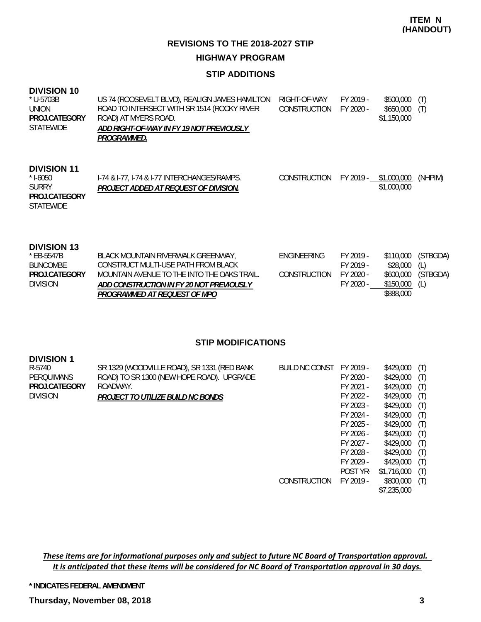# **STIP ADDITIONS**

#### **DIVISION 10**

| * U-5703B        | US 74 (ROOSEVELT BLVD), REALIGN JAMES HAMILTON | RIGHT-OF-WAY | FY 2019 - | \$500,000<br>$(\top)$ |  |
|------------------|------------------------------------------------|--------------|-----------|-----------------------|--|
| UNION            | ROAD TO INTERSECT WITH SR 1514 (ROCKY RIVER    | CONSTRUCTION | FY 2020 - | \$650,000<br>$(\top)$ |  |
| PROJ.CATEGORY    | ROAD) AT MYERS ROAD.                           |              |           | \$1,150,000           |  |
| <b>STATEWIDE</b> | ADD RIGHT-OF-WAY IN FY 19 NOT PREVIOUSLY       |              |           |                       |  |
|                  | <i>PROGRAMMED.</i>                             |              |           |                       |  |

#### **DIVISION 11**

| $*$ 1-6050       | 1-74 & 1-77, 1-74 & 1-77 INTERCHANGES/RAMPS. | CONSTRUCTION FY 2019 - | \$1,000,000 | (NHPIM) |
|------------------|----------------------------------------------|------------------------|-------------|---------|
| <b>SURRY</b>     | PROJECT ADDED AT REQUEST OF DIVISION.        |                        | \$1,000,000 |         |
| PROJ.CATEGORY    |                                              |                        |             |         |
| <b>STATEWIDE</b> |                                              |                        |             |         |

#### **DIVISION 13**

| * FB-5547B      | BLACK MOUNTAIN RIVERWALK GREENWAY.          | ENGINEERING  | FY 2019 - |                | \$110,000 (STBGDA) |
|-----------------|---------------------------------------------|--------------|-----------|----------------|--------------------|
| BUNCOMBE        | CONSTRUCT MULTI-USE PATH FROM BLACK         |              | FY 2019 - | \$28,000 (L)   |                    |
| PROJCATEGORY    | MOUNTAIN AVENUE TO THE INTO THE OAKS TRAIL. | CONSTRUCTION | FY 2020 - |                | \$600,000 (STBGDA) |
| <b>DIVISION</b> | ADD CONSTRUCTION IN FY 20 NOT PREVIOUSLY    |              | FY 2020 - | $$150,000$ (L) |                    |
|                 | PROGRAMMED AT REOUEST OF MPO                |              |           | \$888,000      |                    |

#### **STIP MODIFICATIONS**

| <b>DIVISION 1</b> |                                             |                     |           |             |     |
|-------------------|---------------------------------------------|---------------------|-----------|-------------|-----|
| R-5740            | SR 1329 (WOODVILLE ROAD), SR 1331 (RED BANK | BUILD NC CONST      | FY 2019 - | \$429,000   | (T) |
| <b>PEROUIMANS</b> | ROAD) TO SR 1300 (NEW HOPE ROAD). UPGRADE   |                     | FY 2020 - | \$429,000   | (T) |
| PROJ.CATEGORY     | ROADWAY.                                    |                     | FY 2021 - | \$429,000   | (T) |
| <b>DIVISION</b>   | PROJECT TO UTILIZE BUILD NC BONDS           |                     | FY 2022 - | \$429,000   | (T) |
|                   |                                             |                     | FY 2023 - | \$429,000   | (T) |
|                   |                                             |                     | FY 2024 - | \$429,000   | (T) |
|                   |                                             |                     | FY 2025 - | \$429,000   | (T) |
|                   |                                             |                     | FY 2026 - | \$429,000   | (T) |
|                   |                                             |                     | FY 2027 - | \$429,000   | (T) |
|                   |                                             |                     | FY 2028 - | \$429,000   | (T) |
|                   |                                             |                     | FY 2029 - | \$429,000   | (T) |
|                   |                                             |                     | POST YR-  | \$1,716,000 | (T) |
|                   |                                             | <b>CONSTRUCTION</b> | FY 2019 - | \$800,000   | (T) |
|                   |                                             |                     |           | \$7,235,000 |     |

These items are for informational purposes only and subject to future NC Board of Transportation approval. It is anticipated that these items will be considered for NC Board of Transportation approval in 30 days.

**\* INDICATES FEDERAL AMENDMENT**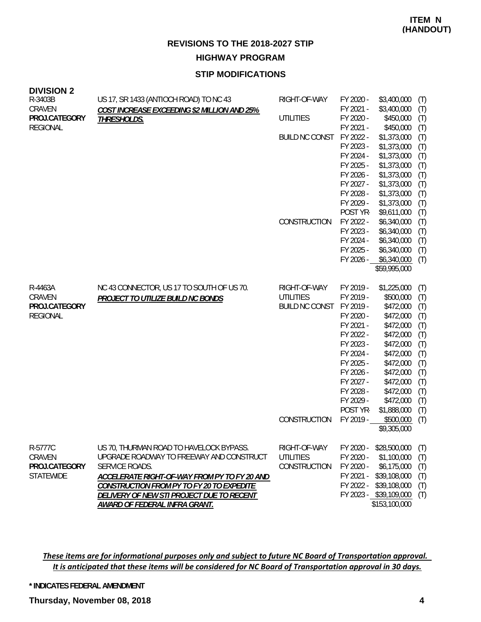#### **STIP MODIFICATIONS**

| <b>DIVISION 2</b><br>R-3403B<br>CRAVEN                | US 17, SR 1433 (ANTIOCH ROAD) TO NC 43<br>COST INCREASE EXCEEDING \$2 MILLION AND 25%                                                                                                                | RIGHT-OF-WAY                                              | FY 2020 -<br>FY 2021 -                                                                                                                                                            | \$3,400,000<br>\$3,400,000                                                                                                                                                             | (T)<br>(T)                                                                                     |
|-------------------------------------------------------|------------------------------------------------------------------------------------------------------------------------------------------------------------------------------------------------------|-----------------------------------------------------------|-----------------------------------------------------------------------------------------------------------------------------------------------------------------------------------|----------------------------------------------------------------------------------------------------------------------------------------------------------------------------------------|------------------------------------------------------------------------------------------------|
| PROJ.CATEGORY<br><b>REGIONAL</b>                      | <b>THRESHOLDS.</b>                                                                                                                                                                                   | <b>UTILITIES</b><br><b>BUILD NC CONST</b>                 | FY 2020 -<br>FY 2021 -<br>FY 2022 -<br>FY 2023 -<br>FY 2024 -<br>FY 2025 -<br>FY 2026 -<br>FY 2027 -<br>FY 2028 -<br>FY 2029 -                                                    | \$450,000<br>\$450,000<br>\$1,373,000<br>\$1,373,000<br>\$1,373,000<br>\$1,373,000<br>\$1,373,000<br>\$1,373,000<br>\$1,373,000<br>\$1,373,000                                         | (T)<br>(T)<br>(T)<br>(T)<br>(T)<br>(T)<br>(T)<br>(T)<br>(T)<br>(T)                             |
|                                                       |                                                                                                                                                                                                      | CONSTRUCTION                                              | POST YR-<br>FY 2022 -<br>FY 2023 -<br>FY 2024 -<br>FY 2025 -<br>FY 2026 -                                                                                                         | \$9,611,000<br>\$6,340,000<br>\$6,340,000<br>\$6,340,000<br>\$6,340,000<br>\$6,340,000<br>\$59,995,000                                                                                 | (T)<br>(T)<br>(T)<br>(T)<br>(T)<br>(T)                                                         |
| R-4463A<br>CRAVEN<br>PROJ.CATEGORY<br><b>REGIONAL</b> | NC 43 CONNECTOR, US 17 TO SOUTH OF US 70.<br><b>PROJECT TO UTILIZE BUILD NC BONDS</b>                                                                                                                | RIGHT-OF-WAY<br><b>UTILITIES</b><br><b>BUILD NC CONST</b> | FY 2019 -<br>FY 2019 -<br>FY 2019 -<br>FY 2020 -<br>FY 2021 -<br>FY 2022 -<br>FY 2023 -<br>FY 2024 -<br>FY 2025 -<br>FY 2026 -<br>FY 2027 -<br>FY 2028 -<br>FY 2029 -<br>POST YR- | \$1,225,000<br>\$500,000<br>\$472,000<br>\$472,000<br>\$472,000<br>\$472,000<br>\$472,000<br>\$472,000<br>\$472,000<br>\$472,000<br>\$472,000<br>\$472,000<br>\$472,000<br>\$1,888,000 | (T)<br>(T)<br>(T)<br>(T)<br>(T)<br>(T)<br>(T)<br>(T)<br>(T)<br>(T)<br>(T)<br>(T)<br>(T)<br>(T) |
| R-5777C                                               | US 70, THURMAN ROAD TO HAVELOCK BYPASS.                                                                                                                                                              | CONSTRUCTION<br>RIGHT-OF-WAY                              | FY 2019 -<br>FY 2020 -                                                                                                                                                            | \$500,000<br>\$9,305,000<br>\$28,500,000                                                                                                                                               | (T)<br>(T)                                                                                     |
| CRAVEN<br>PROJ.CATEGORY<br><b>STATEWIDE</b>           | UPGRADE ROADWAY TO FREEWAY AND CONSTRUCT<br>SERVICE ROADS.<br>ACCELERATE RIGHT-OF-WAY FROM PY TO FY 20 AND<br>CONSTRUCTION FROM PY TO FY 20 TO EXPEDITE<br>DELIVERY OF NEW STI PROJECT DUE TO RECENT | <b>UTILITIES</b><br>CONSTRUCTION                          | FY 2020 -<br>FY 2020 -<br>FY 2021 -<br>FY 2022 -                                                                                                                                  | \$1,100,000<br>\$6,175,000<br>\$39,108,000<br>\$39,108,000<br>FY 2023 - \$39,109,000                                                                                                   | (T)<br>(T)<br>(T)<br>(T)<br>(T)                                                                |

These items are for informational purposes only and subject to future NC Board of Transportation approval. It is anticipated that these items will be considered for NC Board of Transportation approval in 30 days.

**\* INDICATES FEDERAL AMENDMENT**

**Thursday, November 08, 2018 4**

*AWARD OF FEDERAL INFRA GRANT.*

\$153,100,000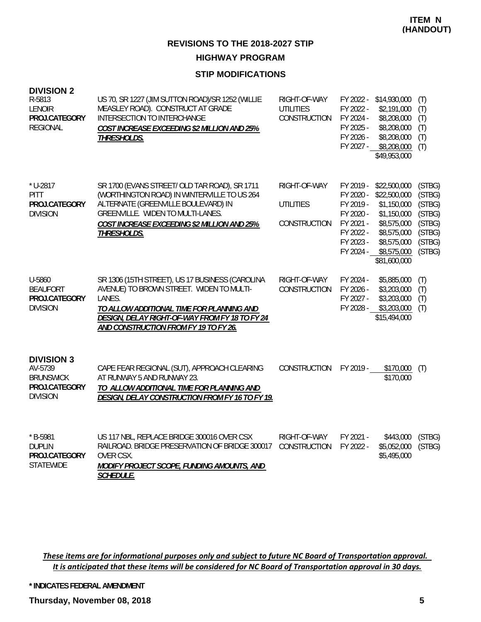# **HIGHWAY PROGRAM**

# **STIP MODIFICATIONS**

| <b>DIVISION 2</b><br>R-5813<br><b>LENOIR</b><br>PROJ.CATEGORY<br><b>REGIONAL</b>     | US 70, SR 1227 (JIM SUTTON ROAD)/SR 1252 (WILLIE<br>MEASLEY ROAD). CONSTRUCT AT GRADE<br>INTERSECTION TO INTERCHANGE<br>COST INCREASE EXCEEDING \$2 MILLION AND 25%<br>THRESHOLDS.                                                            | RIGHT-OF-WAY<br><b>UTILITIES</b><br><b>CONSTRUCTION</b> | FY 2022 -<br>FY 2022 -<br>FY 2024 -<br>FY 2025 -<br>FY 2026 -                           | \$14,930,000<br>\$2,191,000<br>\$8,208,000<br>\$8,208,000<br>\$8,208,000<br>FY 2027 - \$8,208,000<br>\$49,953,000                                | (T)<br>(T)<br>(T)<br>(T)<br>(T)<br>(T)                                       |
|--------------------------------------------------------------------------------------|-----------------------------------------------------------------------------------------------------------------------------------------------------------------------------------------------------------------------------------------------|---------------------------------------------------------|-----------------------------------------------------------------------------------------|--------------------------------------------------------------------------------------------------------------------------------------------------|------------------------------------------------------------------------------|
| * U-2817<br>PITT<br>PROJ.CATEGORY<br><b>DIVISION</b>                                 | SR 1700 (EVANS STREET/ OLD TAR ROAD), SR 1711<br>(WORTHINGTON ROAD) IN WINTERVILLE TO US 264<br>ALTERNATE (GREENVILLE BOULEVARD) IN<br>GREENVILLE. WIDEN TO MULTI-LANES.<br><b>COST INCREASE EXCEEDING \$2 MILLION AND 25%</b><br>THRESHOLDS. | RIGHT-OF-WAY<br><b>UTILITIES</b><br><b>CONSTRUCTION</b> | FY 2019 -<br>FY 2020 -<br>FY 2019 -<br>FY 2020 -<br>FY 2021 -<br>FY 2022 -<br>FY 2023 - | \$22,500,000<br>\$22,500,000<br>\$1,150,000<br>\$1,150,000<br>\$8,575,000<br>\$8,575,000<br>\$8,575,000<br>FY 2024 - \$8,575,000<br>\$81,600,000 | (STBG)<br>(STBG)<br>(STBG)<br>(STBG)<br>(STBG)<br>(STBG)<br>(STBG)<br>(STBG) |
| U-5860<br><b>BEAUFORT</b><br>PROJ.CATEGORY<br><b>DIVISION</b>                        | SR 1306 (15TH STREET), US 17 BUSINESS (CAROLINA<br>AVENUE) TO BROWN STREET. WIDEN TO MULTI-<br>LANES.<br>TO ALLOW ADDITIONAL TIME FOR PLANNING AND<br>DESIGN, DELAY RIGHT-OF-WAY FROM FY 18 TO FY 24<br>AND CONSTRUCTION FROM FY 19 TO FY 26. | RIGHT-OF-WAY<br><b>CONSTRUCTION</b>                     | FY 2024 -<br>FY 2026 -<br>FY 2027 -<br>FY 2028 -                                        | \$5,885,000<br>\$3,203,000<br>\$3,203,000<br>\$3,203,000<br>\$15,494,000                                                                         | (T)<br>(T)<br>(T)<br>(T)                                                     |
| <b>DIVISION 3</b><br>AV-5739<br><b>BRUNSWICK</b><br>PROJ.CATEGORY<br><b>DIVISION</b> | CAPE FEAR REGIONAL (SUT), APPROACH CLEARING<br>AT RUNWAY 5 AND RUNWAY 23.<br>TO ALLOW ADDITIONAL TIME FOR PLANNING AND<br>DESIGN, DELAY CONSTRUCTION FROM FY 16 TO FY 19.                                                                     | CONSTRUCTION                                            | FY 2019 -                                                                               | \$170,000<br>\$170,000                                                                                                                           | (T)                                                                          |
| * B-5981<br><b>DUPLIN</b><br>PROJ.CATEGORY<br><b>STATEWIDE</b>                       | US 117 NBL, REPLACE BRIDGE 300016 OVER CSX<br>RAILROAD. BRIDGE PRESERVATION OF BRIDGE 300017<br>OVER CSX.<br>MODIFY PROJECT SCOPE, FUNDING AMOUNTS, AND<br><b>SCHEDULE.</b>                                                                   | RIGHT-OF-WAY<br>CONSTRUCTION                            | FY 2021 -<br>FY 2022 -                                                                  | \$443,000<br>\$5,052,000<br>\$5,495,000                                                                                                          | (STBG)<br>(STBG)                                                             |

These items are for informational purposes only and subject to future NC Board of Transportation approval. It is anticipated that these items will be considered for NC Board of Transportation approval in 30 days.

**\* INDICATES FEDERAL AMENDMENT**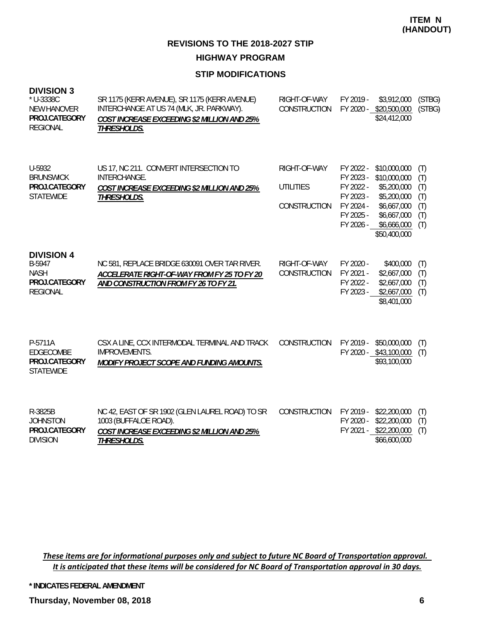## **STIP MODIFICATIONS**

| <b>DIVISION 3</b><br>* U-3338C<br><b>NEW HANOVER</b><br>PROJ.CATEGORY<br><b>REGIONAL</b> | SR 1175 (KERR AVENUE), SR 1175 (KERR AVENUE)<br>INTERCHANGE AT US 74 (MLK, JR. PARKWAY).<br>COST INCREASE EXCEEDING \$2 MILLION AND 25%<br>THRESHOLDS. | RIGHT-OF-WAY<br><b>CONSTRUCTION</b>                     | FY 2019 -                                                                               | \$3,912,000<br>FY 2020 - \$20,500,000<br>\$24,412,000                                                                   | (STBG)<br>(STBG)                              |
|------------------------------------------------------------------------------------------|--------------------------------------------------------------------------------------------------------------------------------------------------------|---------------------------------------------------------|-----------------------------------------------------------------------------------------|-------------------------------------------------------------------------------------------------------------------------|-----------------------------------------------|
| U-5932<br><b>BRUNSWICK</b><br>PROJ.CATEGORY<br><b>STATEWIDE</b>                          | US 17, NC 211. CONVERT INTERSECTION TO<br>INTERCHANGE.<br>COST INCREASE EXCEEDING \$2 MILLION AND 25%<br>THRESHOLDS.                                   | RIGHT-OF-WAY<br><b>UTILITIES</b><br><b>CONSTRUCTION</b> | FY 2022 -<br>FY 2023 -<br>FY 2022 -<br>FY 2023 -<br>FY 2024 -<br>FY 2025 -<br>FY 2026 - | \$10,000,000<br>\$10,000,000<br>\$5,200,000<br>\$5,200,000<br>\$6,667,000<br>\$6,667,000<br>\$6,666,000<br>\$50,400,000 | (T)<br>(T)<br>(T)<br>(T)<br>(T)<br>(T)<br>(T) |
| <b>DIVISION 4</b><br>B-5947<br><b>NASH</b><br>PROJ.CATEGORY<br><b>REGIONAL</b>           | NC 581, REPLACE BRIDGE 630091 OVER TAR RIVER.<br>ACCELERATE RIGHT-OF-WAY FROM FY 25 TO FY 20<br>AND CONSTRUCTION FROM FY 26 TO FY 21.                  | RIGHT-OF-WAY<br>CONSTRUCTION                            | FY 2020 -<br>FY 2021 -<br>FY 2022 -<br>FY 2023 -                                        | \$400,000<br>\$2,667,000<br>\$2,667,000<br>\$2,667,000<br>\$8,401,000                                                   | (T)<br>(T)<br>(T)<br>(T)                      |
| P-5711A<br>EDGECOMBE<br>PROJ.CATEGORY<br><b>STATEWIDE</b>                                | CSX A LINE, CCX INTERMODAL TERMINAL AND TRACK<br>IMPROVEMENTS.<br>MODIFY PROJECT SCOPE AND FUNDING AMOUNTS.                                            | CONSTRUCTION                                            |                                                                                         | FY 2019 - \$50,000,000<br>FY 2020 - \$43,100,000<br>\$93,100,000                                                        | (T)<br>(T)                                    |
| R-3825B<br><b>JOHNSTON</b><br>PROJ.CATEGORY<br><b>DIVISION</b>                           | NC 42, EAST OF SR 1902 (GLEN LAUREL ROAD) TO SR<br>1003 (BUFFALOE ROAD).<br>COST INCREASE EXCEEDING \$2 MILLION AND 25%<br>THRESHOLDS.                 | CONSTRUCTION                                            | FY 2020 -                                                                               | FY 2019 - \$22,200,000<br>\$22,200,000<br>FY 2021 - \$22,200,000<br>\$66,600,000                                        | (T)<br>(T)<br>(T)                             |

These items are for informational purposes only and subject to future NC Board of Transportation approval. It is anticipated that these items will be considered for NC Board of Transportation approval in 30 days.

**\* INDICATES FEDERAL AMENDMENT**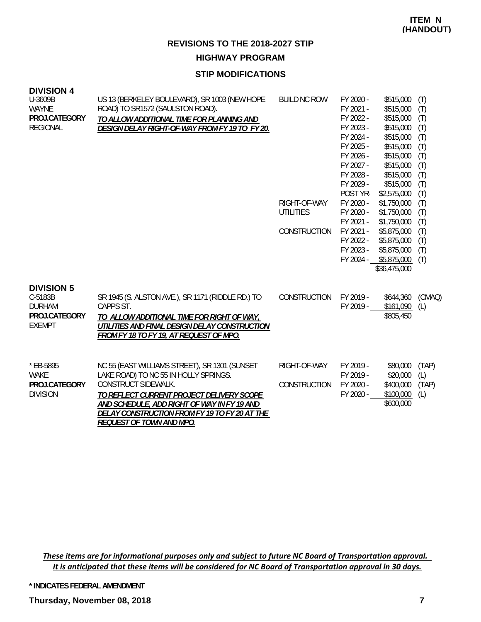**HIGHWAY PROGRAM**

#### **STIP MODIFICATIONS**

| <b>DIVISION 4</b><br>U-3609B<br><b>WAYNE</b><br>PROJ.CATEGORY<br><b>REGIONAL</b> | US 13 (BERKELEY BOULEVARD), SR 1003 (NEW HOPE<br>ROAD) TO SR1572 (SAULSTON ROAD).<br>TO ALLOW ADDITIONAL TIME FOR PLANNING AND<br>DESIGN DELAY RIGHT-OF-WAY FROM FY 19 TO FY 20.                                                                                                              | <b>BUILD NC ROW</b><br>RIGHT-OF-WAY<br><b>UTILITIES</b><br>CONSTRUCTION | FY 2020 -<br>FY 2021 -<br>FY 2022 -<br>FY 2023 -<br>FY 2024 -<br>FY 2025 -<br>FY 2026 -<br>FY 2027 -<br>FY 2028 -<br>FY 2029 -<br>POST YR-<br>FY 2020 -<br>FY 2020 -<br>FY 2021 -<br>FY 2021 -<br>FY 2022 -<br>FY 2023 -<br>FY 2024 - | \$515,000<br>\$515,000<br>\$515,000<br>\$515,000<br>\$515,000<br>\$515,000<br>\$515,000<br>\$515,000<br>\$515,000<br>\$515,000<br>\$2,575,000<br>\$1,750,000<br>\$1,750,000<br>\$1,750,000<br>\$5,875,000<br>\$5,875,000<br>\$5,875,000<br>\$5,875,000<br>\$36,475,000 | (T)<br>(T)<br>(T)<br>(T)<br>(T)<br>(T)<br>(T)<br>(T)<br>(T)<br>(T)<br>(T)<br>(T)<br>(T)<br>(T)<br>(T)<br>(T)<br>(T)<br>(T) |
|----------------------------------------------------------------------------------|-----------------------------------------------------------------------------------------------------------------------------------------------------------------------------------------------------------------------------------------------------------------------------------------------|-------------------------------------------------------------------------|---------------------------------------------------------------------------------------------------------------------------------------------------------------------------------------------------------------------------------------|------------------------------------------------------------------------------------------------------------------------------------------------------------------------------------------------------------------------------------------------------------------------|----------------------------------------------------------------------------------------------------------------------------|
| <b>DIVISION 5</b><br>C-5183B<br><b>DURHAM</b><br>PROJ.CATEGORY<br><b>EXEMPT</b>  | SR 1945 (S. ALSTON AVE.), SR 1171 (RIDDLE RD.) TO<br>CAPPS ST.<br>TO ALLOW ADDITIONAL TIME FOR RIGHT OF WAY,<br>UTILITIES AND FINAL DESIGN DELAY CONSTRUCTION<br>FROM FY 18 TO FY 19, AT REQUEST OF MPO.                                                                                      | CONSTRUCTION                                                            | FY 2019 -<br>FY 2019 -                                                                                                                                                                                                                | \$644,360<br>\$161,090<br>\$805,450                                                                                                                                                                                                                                    | (CMAQ)<br>(L)                                                                                                              |
| * EB-5895<br><b>WAKE</b><br>PROJ.CATEGORY<br><b>DIVISION</b>                     | NC 55 (EAST WILLIAMS STREET), SR 1301 (SUNSET<br>LAKE ROAD) TO NC 55 IN HOLLY SPRINGS.<br>CONSTRUCT SIDEWALK.<br>TO REFLECT CURRENT PROJECT DELIVERY SCOPE<br>AND SCHEDULE, ADD RIGHT OF WAY IN FY 19 AND<br>DELAY CONSTRUCTION FROM FY 19 TO FY 20 AT THE<br><b>REQUEST OF TOWN AND MPO.</b> | RIGHT-OF-WAY<br>CONSTRUCTION                                            | FY 2019 -<br>FY 2019 -<br>FY 2020 -<br>FY 2020 -                                                                                                                                                                                      | \$80,000<br>\$20,000<br>\$400,000<br>\$100,000<br>\$600,000                                                                                                                                                                                                            | (TAP)<br>(L)<br>(TAP)<br>(L)                                                                                               |

These items are for informational purposes only and subject to future NC Board of Transportation approval. It is anticipated that these items will be considered for NC Board of Transportation approval in 30 days.

**\* INDICATES FEDERAL AMENDMENT**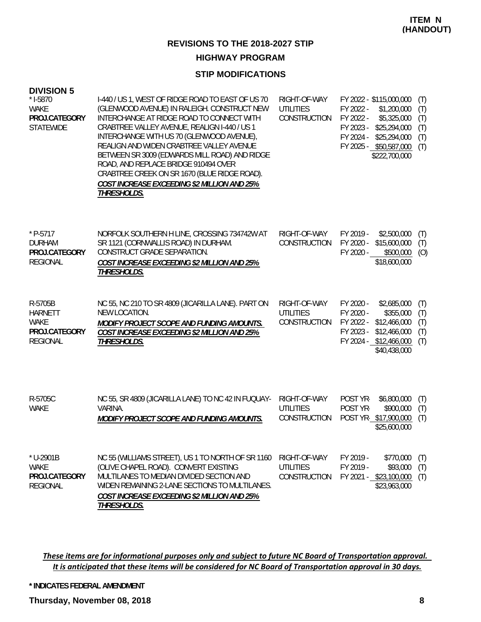## **HIGHWAY PROGRAM**

#### **STIP MODIFICATIONS**

| <b>DIVISION 5</b><br>$*$ 1-5870<br><b>WAKE</b><br>PROJ.CATEGORY<br><b>STATEWIDE</b> | I-440 / US 1, WEST OF RIDGE ROAD TO EAST OF US 70<br>(GLENWOOD AVENUE) IN RALEIGH. CONSTRUCT NEW<br>INTERCHANGE AT RIDGE ROAD TO CONNECT WITH<br>CRABTREE VALLEY AVENUE, REALIGN I-440 / US 1<br>INTERCHANGE WITH US 70 (GLENWOOD AVENUE),<br>REALIGN AND WIDEN CRABTREE VALLEY AVENUE<br>BETWEEN SR 3009 (EDWARDS MILL ROAD) AND RIDGE<br>ROAD, AND REPLACE BRIDGE 910494 OVER<br>CRABTREE CREEK ON SR 1670 (BLUE RIDGE ROAD).<br>COST INCREASE EXCEEDING \$2 MILLION AND 25%<br>THRESHOLDS. | RIGHT-OF-WAY<br><b>UTILITIES</b><br>CONSTRUCTION        | FY 2022 - \$115,000,000<br>(T)<br>FY 2022 -<br>\$1,200,000<br>(T)<br>FY 2022 -<br>\$5,325,000<br>(T)<br>(T)<br>FY 2023 -<br>\$25,294,000<br>(T)<br>FY 2024 -<br>\$25,294,000<br>FY 2025 - \$50,587,000<br>(T)<br>\$222,700,000 |
|-------------------------------------------------------------------------------------|-----------------------------------------------------------------------------------------------------------------------------------------------------------------------------------------------------------------------------------------------------------------------------------------------------------------------------------------------------------------------------------------------------------------------------------------------------------------------------------------------|---------------------------------------------------------|--------------------------------------------------------------------------------------------------------------------------------------------------------------------------------------------------------------------------------|
| $*$ P-5717<br><b>DURHAM</b><br>PROJ.CATEGORY<br><b>REGIONAL</b>                     | NORFOLK SOUTHERN H LINE, CROSSING 734742W AT<br>SR 1121 (CORNWALLIS ROAD) IN DURHAM.<br>CONSTRUCT GRADE SEPARATION.<br>COST INCREASE EXCEEDING \$2 MILLION AND 25%<br>THRESHOLDS.                                                                                                                                                                                                                                                                                                             | RIGHT-OF-WAY<br>CONSTRUCTION                            | FY 2019 -<br>\$2,500,000<br>(T)<br>FY 2020 -<br>\$15,600,000<br>(T)<br>\$500,000<br>(O)<br>FY 2020 -<br>\$18,600,000                                                                                                           |
| R-5705B<br><b>HARNETT</b><br><b>WAKE</b><br>PROJ.CATEGORY<br><b>REGIONAL</b>        | NC 55, NC 210 TO SR 4809 (JICARILLA LANE). PART ON<br>NEW LOCATION.<br>MODIFY PROJECT SCOPE AND FUNDING AMOUNTS.<br>COST INCREASE EXCEEDING \$2 MILLION AND 25%<br><b>THRESHOLDS.</b>                                                                                                                                                                                                                                                                                                         | RIGHT-OF-WAY<br><b>UTILITIES</b><br>CONSTRUCTION        | FY 2020 -<br>\$2,685,000<br>(T)<br>FY 2020 -<br>\$355,000<br>(T)<br>FY 2022 -<br>\$12,466,000<br>(T)<br>FY 2023 -<br>\$12,466,000<br>(T)<br>FY 2024 - \$12,466,000<br>(T)<br>\$40,438,000                                      |
| R-5705C<br><b>WAKE</b>                                                              | NC 55, SR 4809 (JICARILLA LANE) TO NC 42 IN FUQUAY-<br>VARINA.<br>MODIFY PROJECT SCOPE AND FUNDING AMOUNTS.                                                                                                                                                                                                                                                                                                                                                                                   | RIGHT-OF-WAY<br><b>UTILITIES</b><br><b>CONSTRUCTION</b> | POST YR-<br>\$6,800,000<br>(T)<br>POST YR-<br>\$900,000<br>(T)<br>POST YR-\$17,900,000<br>(T)<br>\$25,600,000                                                                                                                  |
| * U-2901B<br><b>WAKE</b><br>PROJ.CATEGORY<br><b>REGIONAL</b>                        | NC 55 (WILLIAMS STREET), US 1 TO NORTH OF SR 1160<br>(OLIVE CHAPEL ROAD). CONVERT EXISTING<br>MULTILANES TO MEDIAN DIVIDED SECTION AND<br>WIDEN REMAINING 2-LANE SECTIONS TO MULTILANES.<br><b>COST INCREASE EXCEEDING \$2 MILLION AND 25%</b><br><b>THRESHOLDS.</b>                                                                                                                                                                                                                          | RIGHT-OF-WAY<br><b>UTILITIES</b><br>CONSTRUCTION        | FY 2019 -<br>\$770,000<br>(T)<br>FY 2019 -<br>\$93,000<br>(T)<br>FY 2021 -<br>\$23,100,000<br>(T)<br>\$23,963,000                                                                                                              |

These items are for informational purposes only and subject to future NC Board of Transportation approval. It is anticipated that these items will be considered for NC Board of Transportation approval in 30 days.

**\* INDICATES FEDERAL AMENDMENT**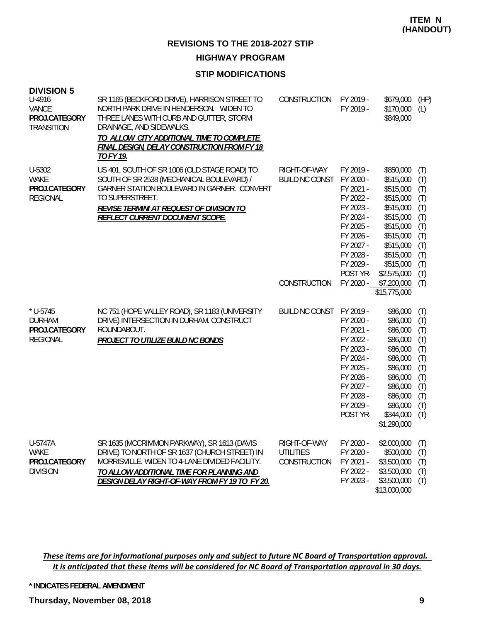**HIGHWAY PROGRAM**

# **STIP MODIFICATIONS**

| <b>DIVISION 5</b><br>U-4916<br>VANCE<br>PROJ.CATEGORY<br><b>TRANSITION</b> | SR 1165 (BECKFORD DRIVE), HARRISON STREET TO<br>NORTH PARK DRIVE IN HENDERSON. WIDEN TO<br>THREE LANES WITH CURB AND GUTTER, STORM<br>DRAINAGE, AND SIDEWALKS.<br>TO ALLOW CITY ADDITIONAL TIME TO COMPLETE<br>FINAL DESIGN, DELAY CONSTRUCTION FROM FY 18<br>TO FY 19. | CONSTRUCTION                                     | FY 2019 -<br>FY 2019 -                                                                                                                                  | \$679,000<br>\$170,000<br>\$849,000                                                                                                                          | (HP)<br>(L)                                                                      |
|----------------------------------------------------------------------------|-------------------------------------------------------------------------------------------------------------------------------------------------------------------------------------------------------------------------------------------------------------------------|--------------------------------------------------|---------------------------------------------------------------------------------------------------------------------------------------------------------|--------------------------------------------------------------------------------------------------------------------------------------------------------------|----------------------------------------------------------------------------------|
| U-5302<br><b>WAKE</b><br>PROJ.CATEGORY<br><b>REGIONAL</b>                  | US 401, SOUTH OF SR 1006 (OLD STAGE ROAD) TO<br>SOUTH OF SR 2538 (MECHANICAL BOULEVARD) /<br>GARNER STATION BOULEVARD IN GARNER. CONVERT<br>TO SUPERSTREET.<br>REVISE TERMINI AT REQUEST OF DIVISION TO<br>REFLECT CURRENT DOCUMENT SCOPE.                              | RIGHT-OF-WAY<br><b>BUILD NC CONST</b>            | FY 2019 -<br>FY 2020 -<br>FY 2021 -<br>FY 2022 -<br>FY 2023 -<br>FY 2024 -<br>FY 2025 -<br>FY 2026 -<br>FY 2027 -<br>FY 2028 -<br>FY 2029 -<br>POST YR- | \$850,000<br>\$515,000<br>\$515,000<br>\$515,000<br>\$515,000<br>\$515,000<br>\$515,000<br>\$515,000<br>\$515,000<br>\$515,000<br>\$515,000<br>\$2,575,000   | (T)<br>(T)<br>(T)<br>(T)<br>(T)<br>(T)<br>(T)<br>(T)<br>(T)<br>(T)<br>(T)<br>(T) |
|                                                                            |                                                                                                                                                                                                                                                                         | CONSTRUCTION                                     | FY 2020 -                                                                                                                                               | \$7,200,000<br>\$15,775,000                                                                                                                                  | (T)                                                                              |
| $*$ U-5745<br><b>DURHAM</b><br>PROJ.CATEGORY<br><b>REGIONAL</b>            | NC 751 (HOPE VALLEY ROAD), SR 1183 (UNIVERSITY<br>DRIVE) INTERSECTION IN DURHAM. CONSTRUCT<br>ROUNDABOUT.<br>PROJECT TO UTILIZE BUILD NC BONDS                                                                                                                          | BUILD NC CONST FY 2019 -                         | FY 2020 -<br>FY 2021 -<br>FY 2022 -<br>FY 2023 -<br>FY 2024 -<br>FY 2025 -<br>FY 2026 -<br>FY 2027 -<br>FY 2028 -<br>FY 2029 -<br>POST YR-              | \$86,000<br>\$86,000<br>\$86,000<br>\$86,000<br>\$86,000<br>\$86,000<br>\$86,000<br>\$86,000<br>\$86,000<br>\$86,000<br>\$86,000<br>\$344,000<br>\$1,290,000 | (T)<br>(T)<br>(T)<br>(T)<br>(T)<br>(T)<br>(T)<br>(T)<br>(T)<br>(T)<br>(T)<br>(T) |
| U-5747A<br><b>WAKE</b><br>PROJ.CATEGORY<br><b>DIVISION</b>                 | SR 1635 (MCCRIMMON PARKWAY), SR 1613 (DAVIS<br>DRIVE) TO NORTH OF SR 1637 (CHURCH STREET) IN<br>MORRISVILLE. WIDEN TO 4-LANE DIVIDED FACILITY.<br>TO ALLOW ADDITIONAL TIME FOR PLANNING AND<br>DESIGN DELAY RIGHT-OF-WAY FROM FY 19 TO FY 20.                           | RIGHT-OF-WAY<br><b>UTILITIES</b><br>CONSTRUCTION | FY 2020 -<br>FY 2020 -<br>FY 2021 -<br>FY 2022 -<br>FY 2023 -                                                                                           | \$2,000,000<br>\$500,000<br>\$3,500,000<br>\$3,500,000<br>\$3,500,000<br>\$13,000,000                                                                        | (T)<br>(T)<br>(T)<br>(T)<br>(T)                                                  |

#### These items are for informational purposes only and subject to future NC Board of Transportation approval. It is anticipated that these items will be considered for NC Board of Transportation approval in 30 days.

#### **\* INDICATES FEDERAL AMENDMENT**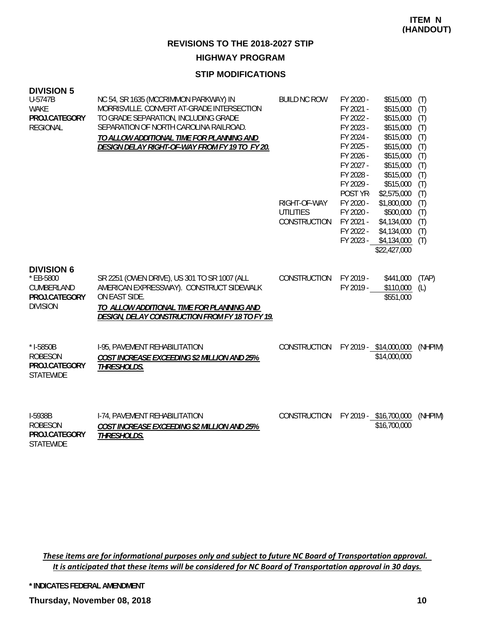**HIGHWAY PROGRAM**

## **STIP MODIFICATIONS**

#### **DIVISION 5**

| ט וועוטוע<br>U-5747B<br><b>WAKE</b><br>PROJ.CATEGORY<br><b>REGIONAL</b>          | NC 54, SR 1635 (MCCRIMMON PARKWAY) IN<br>MORRISVILLE. CONVERT AT-GRADE INTERSECTION<br>TO GRADE SEPARATION, INCLUDING GRADE<br>SEPARATION OF NORTH CAROLINA RAILROAD.<br>TO ALLOW ADDITIONAL TIME FOR PLANNING AND<br>DESIGN DELAY RIGHT-OF-WAY FROM FY 19 TO FY 20. | <b>BUILD NC ROW</b><br>RIGHT-OF-WAY<br><b>UTILITIES</b><br>CONSTRUCTION | FY 2020 -<br>\$515,000<br>FY 2021 -<br>\$515,000<br>FY 2022 -<br>\$515,000<br>FY 2023 -<br>\$515,000<br>FY 2024 -<br>\$515,000<br>\$515,000<br>FY 2025 -<br>FY 2026 -<br>\$515,000<br>FY 2027 -<br>\$515,000<br>FY 2028 -<br>\$515,000<br>FY 2029 -<br>\$515,000<br>POST YR-<br>\$2,575,000<br>FY 2020 -<br>\$1,800,000<br>FY 2020 -<br>\$500,000<br>FY 2021 -<br>\$4,134,000<br>FY 2022 -<br>\$4,134,000<br>FY 2023 - \$4,134,000<br>\$22,427,000 | (T)<br>(T)<br>(T)<br>(T)<br>(T)<br>(T)<br>(T)<br>(T)<br>(T)<br>(T)<br>(T)<br>(T)<br>(T)<br>(T)<br>(T)<br>(T) |
|----------------------------------------------------------------------------------|----------------------------------------------------------------------------------------------------------------------------------------------------------------------------------------------------------------------------------------------------------------------|-------------------------------------------------------------------------|----------------------------------------------------------------------------------------------------------------------------------------------------------------------------------------------------------------------------------------------------------------------------------------------------------------------------------------------------------------------------------------------------------------------------------------------------|--------------------------------------------------------------------------------------------------------------|
| <b>DIVISION 6</b><br>* EB-5800<br>CUMBERLAND<br>PROJ.CATEGORY<br><b>DIVISION</b> | SR 2251 (OWEN DRIVE), US 301 TO SR 1007 (ALL<br>AMERICAN EXPRESSWAY). CONSTRUCT SIDEWALK<br>ON EAST SIDE.<br>TO ALLOW ADDITIONAL TIME FOR PLANNING AND<br>DESIGN, DELAY CONSTRUCTION FROM FY 18 TO FY 19.                                                            | CONSTRUCTION                                                            | FY 2019 -<br>\$441,000<br>FY 2019 -<br>\$110,000<br>\$551,000                                                                                                                                                                                                                                                                                                                                                                                      | (TAP)<br>(L)                                                                                                 |
| * I-5850B<br><b>ROBESON</b><br>PROJ.CATEGORY<br><b>STATEWIDE</b>                 | 1-95, PAVEMENT REHABILITATION<br>COST INCREASE EXCEEDING \$2 MILLION AND 25%<br>THRESHOLDS.                                                                                                                                                                          | CONSTRUCTION                                                            | FY 2019 - \$14,000,000<br>\$14,000,000                                                                                                                                                                                                                                                                                                                                                                                                             | (NHPIM)                                                                                                      |
| I-5938B<br><b>ROBESON</b><br>PROJ.CATEGORY<br><b>STATEWIDE</b>                   | I-74, PAVEMENT REHABILITATION<br>COST INCREASE EXCEEDING \$2 MILLION AND 25%<br>THRESHOLDS.                                                                                                                                                                          | CONSTRUCTION                                                            | FY 2019 - \$16,700,000<br>\$16,700,000                                                                                                                                                                                                                                                                                                                                                                                                             | (NHPIM)                                                                                                      |

These items are for informational purposes only and subject to future NC Board of Transportation approval. It is anticipated that these items will be considered for NC Board of Transportation approval in 30 days.

**\* INDICATES FEDERAL AMENDMENT**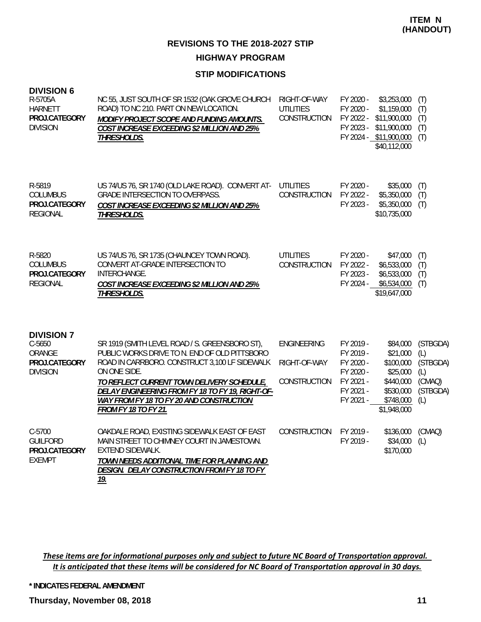#### **STIP MODIFICATIONS**

| <b>DIVISION 6</b><br>R-5705A<br><b>HARNETT</b><br>PROJ.CATEGORY<br><b>DIVISION</b> | NC 55, JUST SOUTH OF SR 1532 (OAK GROVE CHURCH<br>ROAD) TO NC 210. PART ON NEW LOCATION.<br>MODIFY PROJECT SCOPE AND FUNDING AMOUNTS.<br><b>COST INCREASE EXCEEDING \$2 MILLION AND 25%</b><br>THRESHOLDS.                                                                                                                                           | RIGHT-OF-WAY<br><b>UTILITIES</b><br>CONSTRUCTION   | FY 2020 -<br>FY 2020 -<br>FY 2022 -<br>FY 2023 -                                        | \$3,253,000<br>\$1,159,000<br>\$11,900,000<br>\$11,900,000<br>FY 2024 - \$11,900,000<br>\$40,112,000 | (T)<br>(T)<br>(T)<br>(T)<br>(T)                                 |
|------------------------------------------------------------------------------------|------------------------------------------------------------------------------------------------------------------------------------------------------------------------------------------------------------------------------------------------------------------------------------------------------------------------------------------------------|----------------------------------------------------|-----------------------------------------------------------------------------------------|------------------------------------------------------------------------------------------------------|-----------------------------------------------------------------|
| R-5819<br><b>COLUMBUS</b><br>PROJ.CATEGORY<br><b>REGIONAL</b>                      | US 74/US 76, SR 1740 (OLD LAKE ROAD). CONVERT AT-<br><b>GRADE INTERSECTION TO OVERPASS.</b><br>COST INCREASE EXCEEDING \$2 MILLION AND 25%<br>THRESHOLDS.                                                                                                                                                                                            | <b>UTILITIES</b><br>CONSTRUCTION                   | FY 2020 -<br>FY 2022 -<br>FY 2023 -                                                     | \$35,000<br>\$5,350,000<br>\$5,350,000<br>\$10,735,000                                               | (T)<br>(T)<br>(T)                                               |
| R-5820<br><b>COLUMBUS</b><br>PROJ.CATEGORY<br><b>REGIONAL</b>                      | US 74/US 76, SR 1735 (CHAUNCEY TOWN ROAD).<br>CONVERT AT-GRADE INTERSECTION TO<br>INTERCHANGE.<br>COST INCREASE EXCEEDING \$2 MILLION AND 25%<br>THRESHOLDS.                                                                                                                                                                                         | <b>UTILITIES</b><br>CONSTRUCTION                   | FY 2020 -<br>FY 2022 -<br>FY 2023 -<br>FY 2024 -                                        | \$47,000<br>\$6,533,000<br>\$6,533,000<br>\$6,534,000<br>\$19,647,000                                | (T)<br>(T)<br>(T)<br>(T)                                        |
| <b>DIVISION 7</b><br>$C - 5650$<br>ORANGE<br>PROJ.CATEGORY<br><b>DIVISION</b>      | SR 1919 (SMITH LEVEL ROAD / S. GREENSBORO ST),<br>PUBLIC WORKS DRIVE TO N. END OF OLD PITTSBORO<br>ROAD IN CARRBORO. CONSTRUCT 3,100 LF SIDEWALK<br>ON ONE SIDE.<br>TO REFLECT CURRENT TOWN DELIVERY SCHEDULE,<br>DELAY ENGINEERING FROM FY 18 TO FY 19, RIGHT-OF-<br><b>WAY FROM FY 18 TO FY 20 AND CONSTRUCTION</b><br><b>FROM FY 18 TO FY 21.</b> | <b>ENGINEERING</b><br>RIGHT-OF-WAY<br>CONSTRUCTION | FY 2019 -<br>FY 2019 -<br>FY 2020 -<br>FY 2020 -<br>FY 2021 -<br>FY 2021 -<br>FY 2021 - | \$84,000<br>\$21,000<br>\$100,000<br>\$25,000<br>\$440,000<br>\$530,000<br>\$748,000<br>\$1,948,000  | (STBGDA)<br>(L)<br>(STBGDA)<br>(L)<br>(CMAQ)<br>(STBGDA)<br>(L) |
| C-5700<br><b>GUILFORD</b><br>PROJ.CATEGORY<br><b>EXEMPT</b>                        | OAKDALE ROAD, EXISTING SIDEWALK EAST OF EAST<br>MAIN STREET TO CHIMNEY COURT IN JAMESTOWN.<br>EXTEND SIDEWALK.<br>TOWN NEEDS ADDITIONAL TIME FOR PLANNING AND<br>DESIGN. DELAY CONSTRUCTION FROM FY 18 TO FY<br>19.                                                                                                                                  | CONSTRUCTION                                       | FY 2019 -<br>FY 2019 -                                                                  | \$136,000<br>\$34,000<br>\$170,000                                                                   | (CMAQ)<br>(L)                                                   |

These items are for informational purposes only and subject to future NC Board of Transportation approval. It is anticipated that these items will be considered for NC Board of Transportation approval in 30 days.

**\* INDICATES FEDERAL AMENDMENT**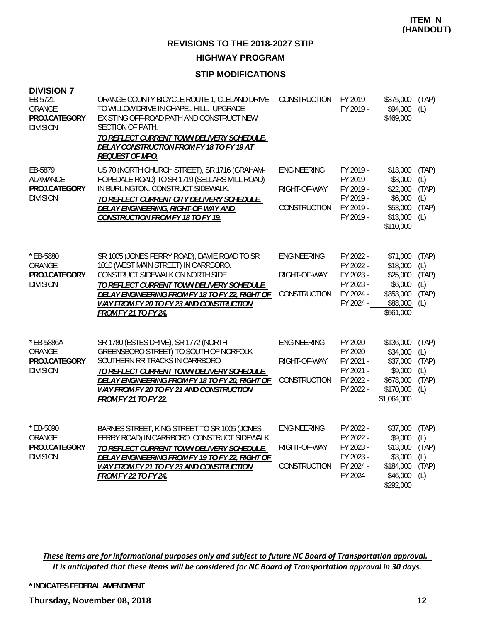# **HIGHWAY PROGRAM**

## **STIP MODIFICATIONS**

| <b>DIVISION 7</b><br>EB-5721<br>ORANGE<br>PROJ.CATEGORY<br><b>DIVISION</b> | ORANGE COUNTY BICYCLE ROUTE 1, CLELAND DRIVE<br>TO WILLOW DRIVE IN CHAPEL HILL. UPGRADE<br>EXISTING OFF-ROAD PATH AND CONSTRUCT NEW<br>SECTION OF PATH.<br>TO REFLECT CURRENT TOWN DELIVERY SCHEDULE,<br>DELAY CONSTRUCTION FROM FY 18 TO FY 19 AT<br>REQUEST OF MPO.                                 | <b>CONSTRUCTION</b>                                | FY 2019 -<br>FY 2019 -                                                     | \$375,000<br>\$94,000<br>\$469,000                                                    | (TAP)<br>(L)                                 |
|----------------------------------------------------------------------------|-------------------------------------------------------------------------------------------------------------------------------------------------------------------------------------------------------------------------------------------------------------------------------------------------------|----------------------------------------------------|----------------------------------------------------------------------------|---------------------------------------------------------------------------------------|----------------------------------------------|
| EB-5879<br><b>ALAMANCE</b><br>PROJ.CATEGORY<br><b>DIVISION</b>             | US 70 (NORTH CHURCH STREET), SR 1716 (GRAHAM-<br>HOPEDALE ROAD) TO SR 1719 (SELLARS MILL ROAD)<br>IN BURLINGTON. CONSTRUCT SIDEWALK.<br>TO REFLECT CURRENT CITY DELIVERY SCHEDULE,<br>DELAY ENGINEERING, RIGHT-OF-WAY AND<br><b>CONSTRUCTION FROM FY 18 TO FY 19.</b>                                 | <b>ENGINEERING</b><br>RIGHT-OF-WAY<br>CONSTRUCTION | FY 2019 -<br>FY 2019 -<br>FY 2019 -<br>FY 2019 -<br>FY 2019 -<br>FY 2019 - | \$13,000<br>\$3,000<br>\$22,000<br>\$6,000<br>\$53,000<br>\$13,000<br>\$110,000       | (TAP)<br>(L)<br>(TAP)<br>(L)<br>(TAP)<br>(L) |
| * EB-5880<br>ORANGE<br>PROJ.CATEGORY<br><b>DIVISION</b>                    | SR 1005 (JONES FERRY ROAD), DAVIE ROAD TO SR<br>1010 (WEST MAIN STREET) IN CARRBORO.<br>CONSTRUCT SIDEWALK ON NORTH SIDE.<br>TO REFLECT CURRENT TOWN DELIVERY SCHEDULE,<br>DELAY ENGINEERING FROM FY 18 TO FY 22, RIGHT OF<br>WAY FROM FY 20 TO FY 23 AND CONSTRUCTION<br><b>FROM FY 21 TO FY 24.</b> | <b>ENGINEERING</b><br>RIGHT-OF-WAY<br>CONSTRUCTION | FY 2022 -<br>FY 2022 -<br>FY 2023 -<br>FY 2023 -<br>FY 2024 -<br>FY 2024 - | \$71,000<br>\$18,000<br>\$25,000<br>\$6,000<br>\$353,000<br>\$88,000<br>\$561,000     | (TAP)<br>(L)<br>(TAP)<br>(L)<br>(TAP)<br>(L) |
| * EB-5886A<br>ORANGE<br>PROJ.CATEGORY<br><b>DIVISION</b>                   | SR 1780 (ESTES DRIVE), SR 1772 (NORTH<br>GREENSBORO STREET) TO SOUTH OF NORFOLK-<br>SOUTHERN RR TRACKS IN CARRBORO<br>TO REFLECT CURRENT TOWN DELIVERY SCHEDULE,<br>DELAY ENGINEERING FROM FY 18 TO FY 20, RIGHT OF<br>WAY FROM FY 20 TO FY 21 AND CONSTRUCTION<br><b>FROM FY 21 TO FY 22.</b>        | <b>ENGINEERING</b><br>RIGHT-OF-WAY<br>CONSTRUCTION | FY 2020 -<br>FY 2020 -<br>FY 2021 -<br>FY 2021 -<br>FY 2022 -<br>FY 2022 - | \$136,000<br>\$34,000<br>\$37,000<br>\$9,000<br>\$678,000<br>\$170,000<br>\$1,064,000 | (TAP)<br>(L)<br>(TAP)<br>(L)<br>(TAP)<br>(L) |
| * EB-5890<br>ORANGE<br>PROJ.CATEGORY<br><b>DIVISION</b>                    | BARNES STREET, KING STREET TO SR 1005 (JONES<br>FERRY ROAD) IN CARRBORO. CONSTRUCT SIDEWALK.<br>TO REFLECT CURRENT TOWN DELIVERY SCHEDULE,<br>DELAY ENGINEERING FROM FY 19 TO FY 22, RIGHT OF<br>WAY FROM FY 21 TO FY 23 AND CONSTRUCTION<br><b>FROM FY 22 TO FY 24.</b>                              | <b>ENGINEERING</b><br>RIGHT-OF-WAY<br>CONSTRUCTION | FY 2022 -<br>FY 2022 -<br>FY 2023 -<br>FY 2023 -<br>FY 2024 -<br>FY 2024 - | \$37,000<br>\$9,000<br>\$13,000<br>\$3,000<br>\$184,000<br>\$46,000<br>\$292,000      | (TAP)<br>(L)<br>(TAP)<br>(L)<br>(TAP)<br>(L) |

These items are for informational purposes only and subject to future NC Board of Transportation approval. It is anticipated that these items will be considered for NC Board of Transportation approval in 30 days.

#### **\* INDICATES FEDERAL AMENDMENT**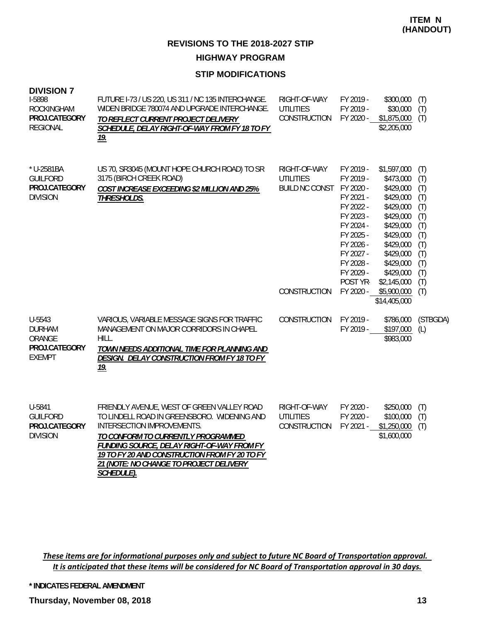#### **STIP MODIFICATIONS**

| <b>DIVISION 7</b><br>I-5898<br><b>ROCKINGHAM</b><br>PROJ.CATEGORY<br><b>REGIONAL</b> | FUTURE 1-73 / US 220, US 311 / NC 135 INTERCHANGE.<br>WIDEN BRIDGE 780074 AND UPGRADE INTERCHANGE.<br>TO REFLECT CURRENT PROJECT DELIVERY<br>SCHEDULE, DELAY RIGHT-OF-WAY FROM FY 18 TO FY<br><u>19.</u>                                                                                                              | RIGHT-OF-WAY<br><b>UTILITIES</b><br>CONSTRUCTION             | FY 2019 -<br>FY 2019 -<br>FY 2020 -                                                                                                                     | \$300,000<br>\$30,000<br>\$1,875,000<br>\$2,205,000                                                                                                                       | (T)<br>(T)<br>(T)                                                                       |
|--------------------------------------------------------------------------------------|-----------------------------------------------------------------------------------------------------------------------------------------------------------------------------------------------------------------------------------------------------------------------------------------------------------------------|--------------------------------------------------------------|---------------------------------------------------------------------------------------------------------------------------------------------------------|---------------------------------------------------------------------------------------------------------------------------------------------------------------------------|-----------------------------------------------------------------------------------------|
| * U-2581BA<br><b>GUILFORD</b><br>PROJ.CATEGORY<br><b>DIVISION</b>                    | US 70, SR3045 (MOUNT HOPE CHURCH ROAD) TO SR<br>3175 (BIRCH CREEK ROAD)<br>COST INCREASE EXCEEDING \$2 MILLION AND 25%<br><b>THRESHOLDS.</b>                                                                                                                                                                          | RIGHT-OF-WAY<br><b>UTILITIES</b><br>BUILD NC CONST FY 2020 - | FY 2019 -<br>FY 2019 -<br>FY 2021 -<br>FY 2022 -<br>FY 2023 -<br>FY 2024 -<br>FY 2025 -<br>FY 2026 -<br>FY 2027 -<br>FY 2028 -<br>FY 2029 -<br>POST YR- | \$1,597,000<br>\$473,000<br>\$429,000<br>\$429,000<br>\$429,000<br>\$429,000<br>\$429,000<br>\$429,000<br>\$429,000<br>\$429,000<br>\$429,000<br>\$429,000<br>\$2,145,000 | (T)<br>(T)<br>(T)<br>(T)<br>(T)<br>(T)<br>(T)<br>(T)<br>(T)<br>(T)<br>(T)<br>(T)<br>(T) |
|                                                                                      |                                                                                                                                                                                                                                                                                                                       | CONSTRUCTION                                                 | FY 2020 -                                                                                                                                               | \$5,900,000<br>\$14,405,000                                                                                                                                               | (T)                                                                                     |
| U-5543<br><b>DURHAM</b><br>ORANGE<br>PROJ.CATEGORY<br><b>EXEMPT</b>                  | VARIOUS, VARIABLE MESSAGE SIGNS FOR TRAFFIC<br>MANAGEMENT ON MAJOR CORRIDORS IN CHAPEL<br>HILL.<br>TOWN NEEDS ADDITIONAL TIME FOR PLANNING AND<br>DESIGN. DELAY CONSTRUCTION FROM FY 18 TO FY<br><u>19.</u>                                                                                                           | CONSTRUCTION                                                 | FY 2019 -<br>FY 2019 -                                                                                                                                  | \$786,000<br>\$197,000<br>\$983,000                                                                                                                                       | (STBGDA)<br>(L)                                                                         |
| U-5841<br><b>GUILFORD</b><br>PROJ.CATEGORY<br><b>DIVISION</b>                        | FRIENDLY AVENUE, WEST OF GREEN VALLEY ROAD<br>TO LINDELL ROAD IN GREENSBORO. WIDENING AND<br>INTERSECTION IMPROVEMENTS.<br>TO CONFORM TO CURRENTLY PROGRAMMED<br>FUNDING SOURCE, DELAY RIGHT-OF-WAY FROM FY<br>19 TO FY 20 AND CONSTRUCTION FROM FY 20 TO FY<br>21 (NOTE: NO CHANGE TO PROJECT DELIVERY<br>SCHEDULE). | RIGHT-OF-WAY<br><b>UTILITIES</b><br><b>CONSTRUCTION</b>      | FY 2020 -<br>FY 2020 -<br>FY 2021 -                                                                                                                     | \$250,000<br>\$100,000<br>\$1,250,000<br>\$1,600,000                                                                                                                      | (T)<br>(T)<br>(T)                                                                       |

These items are for informational purposes only and subject to future NC Board of Transportation approval. It is anticipated that these items will be considered for NC Board of Transportation approval in 30 days.

**\* INDICATES FEDERAL AMENDMENT**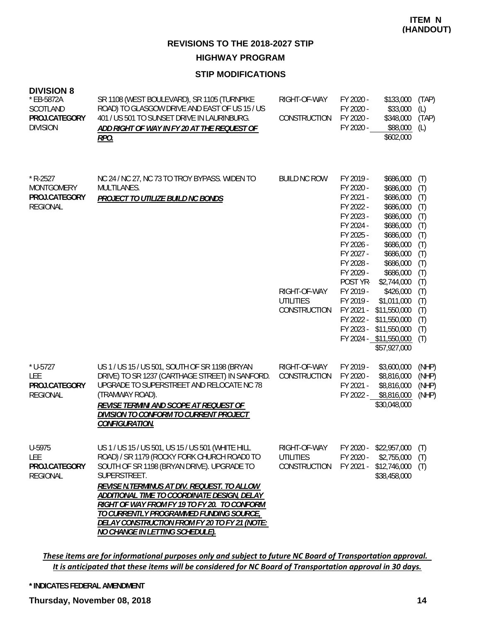**HIGHWAY PROGRAM**

# **STIP MODIFICATIONS**

| <b>DIVISION 8</b><br>* EB-5872A<br>SCOTLAND<br>PROJ.CATEGORY<br><b>DIVISION</b> | SR 1108 (WEST BOULEVARD), SR 1105 (TURNPIKE<br>ROAD) TO GLASGOW DRIVE AND EAST OF US 15 / US<br>401 / US 501 TO SUNSET DRIVE IN LAURINBURG.<br>ADD RIGHT OF WAY IN FY 20 AT THE REQUEST OF<br>RPO.                                                                                                                                                                                                                                           | RIGHT-OF-WAY<br>CONSTRUCTION                     | FY 2020 -<br>FY 2020 -<br>FY 2020 -<br>FY 2020 -                                                                                                                     | \$133,000<br>\$33,000<br>\$348,000<br>\$88,000<br>\$602,000                                                                                                             | (TAP)<br>(L)<br>(TAP)<br>(L)                                                            |
|---------------------------------------------------------------------------------|----------------------------------------------------------------------------------------------------------------------------------------------------------------------------------------------------------------------------------------------------------------------------------------------------------------------------------------------------------------------------------------------------------------------------------------------|--------------------------------------------------|----------------------------------------------------------------------------------------------------------------------------------------------------------------------|-------------------------------------------------------------------------------------------------------------------------------------------------------------------------|-----------------------------------------------------------------------------------------|
| $*$ R-2527<br><b>MONTGOMERY</b><br>PROJ.CATEGORY<br><b>REGIONAL</b>             | NC 24 / NC 27, NC 73 TO TROY BYPASS. WIDEN TO<br>MULTILANES.<br>PROJECT TO UTILIZE BUILD NC BONDS                                                                                                                                                                                                                                                                                                                                            | <b>BUILD NC ROW</b><br>RIGHT-OF-WAY              | FY 2019 -<br>FY 2020 -<br>FY 2021 -<br>FY 2022 -<br>FY 2023 -<br>FY 2024 -<br>FY 2025 -<br>FY 2026 -<br>FY 2027 -<br>FY 2028 -<br>FY 2029 -<br>POST YR-<br>FY 2019 - | \$686,000<br>\$686,000<br>\$686,000<br>\$686,000<br>\$686,000<br>\$686,000<br>\$686,000<br>\$686,000<br>\$686,000<br>\$686,000<br>\$686,000<br>\$2,744,000<br>\$426,000 | (T)<br>(T)<br>(T)<br>(T)<br>(T)<br>(T)<br>(T)<br>(T)<br>(T)<br>(T)<br>(T)<br>(T)<br>(T) |
|                                                                                 |                                                                                                                                                                                                                                                                                                                                                                                                                                              | <b>UTILITIES</b><br>CONSTRUCTION                 | FY 2019 -<br>FY 2021 -<br>FY 2022 -<br>FY 2023 -                                                                                                                     | \$1,011,000<br>\$11,550,000<br>\$11,550,000<br>\$11,550,000<br>FY 2024 - \$11,550,000<br>\$57,927,000                                                                   | (T)<br>(T)<br>(T)<br>(T)<br>(T)                                                         |
| $*$ U-5727<br><b>LEE</b><br>PROJ.CATEGORY<br><b>REGIONAL</b>                    | US 1 / US 15 / US 501, SOUTH OF SR 1198 (BRYAN<br>DRIVE) TO SR 1237 (CARTHAGE STREET) IN SANFORD.<br>UPGRADE TO SUPERSTREET AND RELOCATE NC 78<br>(TRAMWAY ROAD).<br>REVISE TERMINI AND SCOPE AT REQUEST OF<br>DIVISION TO CONFORM TO CURRENT PROJECT<br>CONFIGURATION.                                                                                                                                                                      | RIGHT-OF-WAY<br>CONSTRUCTION                     | FY 2019 -<br>FY 2020 -<br>FY 2021 -<br>FY 2022 -                                                                                                                     | \$3,600,000<br>\$8,816,000<br>\$8,816,000<br>\$8,816,000<br>\$30,048,000                                                                                                | (NHP)<br>(NHP)<br>(NHP)<br>(NHP)                                                        |
| U-5975<br>LEE<br>PROJ.CATEGORY<br><b>REGIONAL</b>                               | US 1 / US 15 / US 501, US 15 / US 501 (WHITE HILL<br>ROAD) / SR 1179 (ROCKY FORK CHURCH ROAD0 TO<br>SOUTH OF SR 1198 (BRYAN DRIVE). UPGRADE TO<br>SUPERSTREET.<br>REVISE N. TERMINUS AT DIV. REQUEST. TO ALLOW<br>ADDITIONAL TIME TO COORDINATE DESIGN, DELAY<br>RIGHT OF WAY FROM FY 19 TO FY 20. TO CONFORM<br>TO CURRENTLY PROGRAMMED FUNDING SOURCE,<br>DELAY CONSTRUCTION FROM FY 20 TO FY 21 (NOTE:<br>NO CHANGE IN LETTING SCHEDULE). | RIGHT-OF-WAY<br><b>UTILITIES</b><br>CONSTRUCTION | FY 2020 -<br>FY 2020 -<br>FY 2021 -                                                                                                                                  | \$22,957,000<br>\$2,755,000<br>\$12,746,000<br>\$38,458,000                                                                                                             | (T)<br>(T)<br>(T)                                                                       |

These items are for informational purposes only and subject to future NC Board of Transportation approval. It is anticipated that these items will be considered for NC Board of Transportation approval in 30 days.

#### **\* INDICATES FEDERAL AMENDMENT**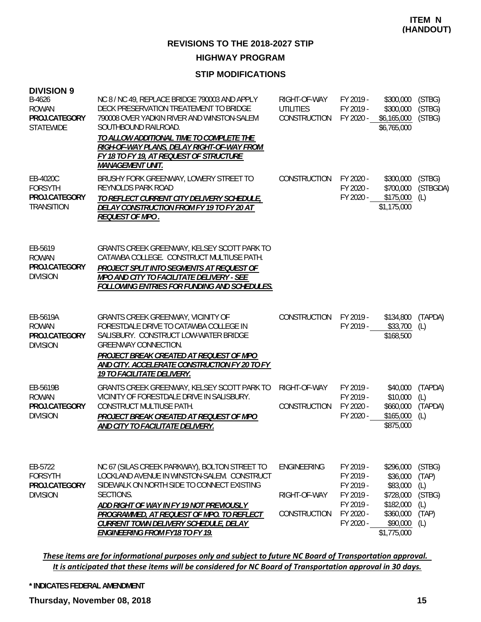# **HIGHWAY PROGRAM**

## **STIP MODIFICATIONS**

| <b>DIVISION 9</b><br>B-4626<br><b>ROWAN</b><br>PROJ.CATEGORY<br><b>STATEWIDE</b> | NC 8 / NC 49, REPLACE BRIDGE 790003 AND APPLY<br>DECK PRESERVATION TREATEMENT TO BRIDGE<br>790008 OVER YADKIN RIVER AND WINSTON-SALEM<br>SOUTHBOUND RAILROAD.<br>TO ALLOW ADDITIONAL TIME TO COMPLETE THE<br>RIGH-OF-WAY PLANS, DELAY RIGHT-OF-WAY FROM<br>FY 18 TO FY 19, AT REQUEST OF STRUCTURE<br><b>MANAGEMENT UNIT.</b>       | RIGHT-OF-WAY<br><b>UTILITIES</b><br>CONSTRUCTION          | FY 2019 -<br>FY 2019 -<br>FY 2020 -                                                     | \$300,000<br>\$300,000<br>\$6,165,000<br>\$6,765,000                                                | (STBG)<br>(STBG)<br>(STBG)                              |
|----------------------------------------------------------------------------------|-------------------------------------------------------------------------------------------------------------------------------------------------------------------------------------------------------------------------------------------------------------------------------------------------------------------------------------|-----------------------------------------------------------|-----------------------------------------------------------------------------------------|-----------------------------------------------------------------------------------------------------|---------------------------------------------------------|
| EB-4020C<br><b>FORSYTH</b><br>PROJ.CATEGORY<br><b>TRANSITION</b>                 | BRUSHY FORK GREENWAY, LOWERY STREET TO<br>REYNOLDS PARK ROAD<br>TO REFLECT CURRENT CITY DELIVERY SCHEDULE,<br>DELAY CONSTRUCTION FROM FY 19 TO FY 20 AT<br>REQUEST OF MPO.                                                                                                                                                          | CONSTRUCTION                                              | FY 2020 -<br>FY 2020 -<br>FY 2020 -                                                     | \$300,000<br>\$700,000<br>\$175,000<br>\$1,175,000                                                  | (STBG)<br>(STBGDA)<br>(L)                               |
| EB-5619<br><b>ROWAN</b><br>PROJ.CATEGORY<br><b>DIVISION</b>                      | GRANTS CREEK GREENWAY, KELSEY SCOTT PARK TO<br>CATAWBA COLLEGE. CONSTRUCT MULTIUSE PATH.<br>PROJECT SPLIT INTO SEGMENTS AT REQUEST OF<br>MPO AND CITY TO FACILITATE DELIVERY - SEE<br><b>FOLLOWING ENTRIES FOR FUNDING AND SCHEDULES.</b>                                                                                           |                                                           |                                                                                         |                                                                                                     |                                                         |
| EB-5619A<br><b>ROWAN</b><br>PROJ.CATEGORY<br><b>DIVISION</b>                     | <b>GRANTS CREEK GREENWAY, VICINITY OF</b><br>FORESTDALE DRIVE TO CATAWBA COLLEGE IN<br>SALISBURY. CONSTRUCT LOW-WATER BRIDGE<br><b>GREENWAY CONNECTION.</b><br>PROJECT BREAK CREATED AT REQUEST OF MPO<br>AND CITY. ACCELERATE CONSTRUCTION FY 20 TO FY<br><b>19 TO FACILITATE DELIVERY.</b>                                        | <b>CONSTRUCTION</b>                                       | FY 2019 -                                                                               | \$134,800<br>FY 2019 - \$33,700<br>\$168,500                                                        | (TAPDA)<br>(L)                                          |
| EB-5619B<br><b>ROWAN</b><br>PROJ.CATEGORY<br><b>DIVISION</b>                     | GRANTS CREEK GREENWAY, KELSEY SCOTT PARK TO<br>VICINITY OF FORESTDALE DRIVE IN SALISBURY.<br>CONSTRUCT MULTIUSE PATH.<br>PROJECT BREAK CREATED AT REQUEST OF MPO<br>AND CITY TO FACILITATE DELIVERY.                                                                                                                                | RIGHT-OF-WAY<br><b>CONSTRUCTION</b>                       | FY 2019 -<br>FY 2019 -<br>FY 2020 -<br>FY 2020 -                                        | \$40,000<br>\$10,000<br>\$660,000<br>\$165,000<br>\$875,000                                         | (TAPDA)<br>(L)<br>(TAPDA)<br>(L)                        |
| EB-5722<br><b>FORSYTH</b><br>PROJ.CATEGORY<br><b>DIVISION</b>                    | NC 67 (SILAS CREEK PARKWAY), BOLTON STREET TO<br>LOCKLAND AVENUE IN WINSTON-SALEM. CONSTRUCT<br>SIDEWALK ON NORTH SIDE TO CONNECT EXISTING<br>SECTIONS.<br>ADD RIGHT OF WAY IN FY 19 NOT PREVIOUSLY<br>PROGRAMMED, AT REQUEST OF MPO. TO REFLECT<br>CURRENT TOWN DELIVERY SCHEDULE, DELAY<br><b>ENGINEERING FROM FY18 TO FY 19.</b> | <b>ENGINEERING</b><br>RIGHT-OF-WAY<br><b>CONSTRUCTION</b> | FY 2019 -<br>FY 2019 -<br>FY 2019 -<br>FY 2019 -<br>FY 2019 -<br>FY 2020 -<br>FY 2020 - | \$296,000<br>\$36,000<br>\$83,000<br>\$728,000<br>\$182,000<br>\$360,000<br>\$90,000<br>\$1,775,000 | (STBG)<br>(TAP)<br>(L)<br>(STBG)<br>(L)<br>(TAP)<br>(L) |

These items are for informational purposes only and subject to future NC Board of Transportation approval. It is anticipated that these items will be considered for NC Board of Transportation approval in 30 days.

#### **\* INDICATES FEDERAL AMENDMENT**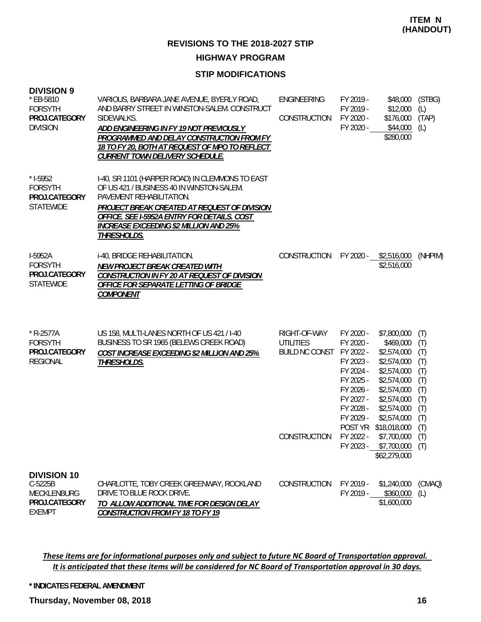# **HIGHWAY PROGRAM**

# **STIP MODIFICATIONS**

| <b>DIVISION 9</b><br>* EB-5810<br><b>FORSYTH</b><br>PROJ.CATEGORY<br><b>DIVISION</b> | VARIOUS, BARBARA JANE AVENUE, BYERLY ROAD,<br>AND BARRY STREET IN WINSTON-SALEM. CONSTRUCT<br>SIDEWALKS.<br>ADD ENGINEERING IN FY 19 NOT PREVIOUSLY<br>PROGRAMMED AND DELAY CONSTRUCTION FROM FY<br>18 TO FY 20, BOTH AT REQUEST OF MPO TO REFLECT<br><b>CURRENT TOWN DELIVERY SCHEDULE.</b> | <b>ENGINEERING</b><br><b>CONSTRUCTION</b>                 | FY 2019 -<br>FY 2019 -<br>FY 2020 -                                                                                            | \$48,000<br>\$12,000<br>\$176,000<br>FY 2020 - \$44,000<br>\$280,000                                                                                                     | (STBG)<br>(L)<br>(TAP)<br>(L)                                             |
|--------------------------------------------------------------------------------------|----------------------------------------------------------------------------------------------------------------------------------------------------------------------------------------------------------------------------------------------------------------------------------------------|-----------------------------------------------------------|--------------------------------------------------------------------------------------------------------------------------------|--------------------------------------------------------------------------------------------------------------------------------------------------------------------------|---------------------------------------------------------------------------|
| $*$ 1-5952<br><b>FORSYTH</b><br>PROJ.CATEGORY<br><b>STATEWIDE</b>                    | I-40, SR 1101 (HARPER ROAD) IN CLEMMONS TO EAST<br>OF US 421 / BUSINESS 40 IN WINSTON-SALEM.<br>PAVEMENT REHABILITATION.<br>PROJECT BREAK CREATED AT REQUEST OF DIVISION<br>OFFICE. SEE I-5952A ENTRY FOR DETAILS. COST<br><b>INCREASE EXCEEDING \$2 MILLION AND 25%</b><br>THRESHOLDS.      |                                                           |                                                                                                                                |                                                                                                                                                                          |                                                                           |
| I-5952A<br><b>FORSYTH</b><br>PROJ.CATEGORY<br><b>STATEWIDE</b>                       | i-40, BRIDGE REHABILITATION.<br>NEW PROJECT BREAK CREATED WITH<br>CONSTRUCTION IN FY 20 AT REQUEST OF DIVISION<br>OFFICE FOR SEPARATE LETTING OF BRIDGE<br>COMPONENT                                                                                                                         | CONSTRUCTION                                              | FY 2020 -                                                                                                                      | \$2,516,000<br>\$2,516,000                                                                                                                                               | (NHPIM)                                                                   |
| $*$ R-2577A<br><b>FORSYTH</b><br>PROJ.CATEGORY<br><b>REGIONAL</b>                    | US 158, MULTI-LANES NORTH OF US 421 / I-40<br>BUSINESS TO SR 1965 (BELEWS CREEK ROAD)<br>COST INCREASE EXCEEDING \$2 MILLION AND 25%<br><b>THRESHOLDS.</b>                                                                                                                                   | RIGHT-OF-WAY<br><b>UTILITIES</b><br><b>BUILD NC CONST</b> | FY 2020 -<br>FY 2020 -<br>FY 2022 -<br>FY 2023 -<br>FY 2024 -<br>FY 2025 -<br>FY 2026 -<br>FY 2027 -<br>FY 2028 -<br>FY 2029 - | \$7,800,000<br>\$469,000<br>\$2,574,000<br>\$2,574,000<br>\$2,574,000<br>\$2,574,000<br>\$2,574,000<br>\$2,574,000<br>\$2,574,000<br>\$2,574,000<br>POST YR-\$18,018,000 | (T)<br>(T)<br>(T)<br>(T)<br>(T)<br>(T)<br>(T)<br>(T)<br>(T)<br>(T)<br>(T) |
|                                                                                      |                                                                                                                                                                                                                                                                                              | CONSTRUCTION                                              | FY 2022 -                                                                                                                      | \$7,700,000 (T)<br>FY 2023 - \$7,700,000<br>\$62,279,000                                                                                                                 | (T)                                                                       |
| <b>DIVISION 10</b><br>C-5225B<br>MECKLENBURG<br>PROJ.CATEGORY<br><b>EXEMPT</b>       | CHARLOTTE, TOBY CREEK GREENWAY, ROCKLAND<br>DRIVE TO BLUE ROCK DRIVE.<br>TO ALLOW ADDITIONAL TIME FOR DESIGN DELAY<br><b>CONSTRUCTION FROM FY 18 TO FY 19</b>                                                                                                                                | <b>CONSTRUCTION</b>                                       | FY 2019 -<br>FY 2019 -                                                                                                         | \$1,240,000<br>\$360,000<br>\$1,600,000                                                                                                                                  | (CMAQ)<br>(L)                                                             |

These items are for informational purposes only and subject to future NC Board of Transportation approval. It is anticipated that these items will be considered for NC Board of Transportation approval in 30 days.

**\* INDICATES FEDERAL AMENDMENT**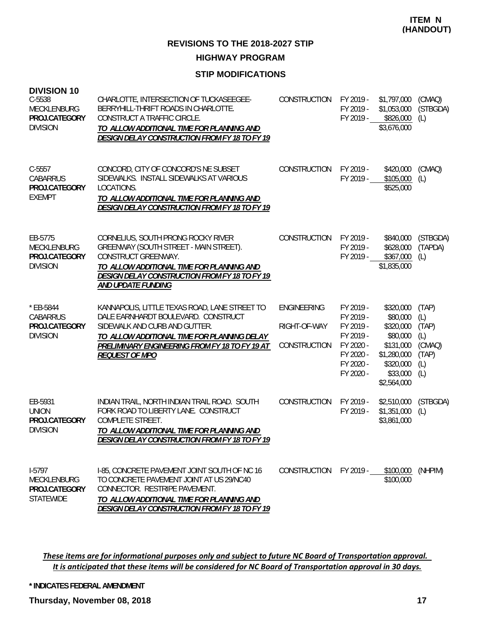**HIGHWAY PROGRAM**

# **STIP MODIFICATIONS**

| <b>DIVISION 10</b><br>C-5538<br>MECKLENBURG<br>PROJ.CATEGORY<br><b>DIVISION</b> | CHARLOTTE, INTERSECTION OF TUCKASEEGEE-<br>BERRYHILL-THRIFT ROADS IN CHARLOTTE.<br>CONSTRUCT A TRAFFIC CIRCLE.<br>TO ALLOW ADDITIONAL TIME FOR PLANNING AND<br><b>DESIGN DELAY CONSTRUCTION FROM FY 18 TO FY 19</b>                             | CONSTRUCTION                                | FY 2019 -<br>FY 2019 -<br>FY 2019 -                                                                  | \$1,797,000<br>\$1,053,000<br>\$826,000<br>\$3,676,000                                                             | (CMAQ)<br>(STBGDA)<br>(L)                                     |
|---------------------------------------------------------------------------------|-------------------------------------------------------------------------------------------------------------------------------------------------------------------------------------------------------------------------------------------------|---------------------------------------------|------------------------------------------------------------------------------------------------------|--------------------------------------------------------------------------------------------------------------------|---------------------------------------------------------------|
| $C-5557$<br><b>CABARRUS</b><br>PROJ.CATEGORY<br><b>EXEMPT</b>                   | CONCORD, CITY OF CONCORD'S NE SUBSET<br>SIDEWALKS. INSTALL SIDEWALKS AT VARIOUS<br>LOCATIONS.<br>TO ALLOW ADDITIONAL TIME FOR PLANNING AND<br><b>DESIGN DELAY CONSTRUCTION FROM FY 18 TO FY 19</b>                                              | CONSTRUCTION                                | FY 2019 -<br>FY 2019 -                                                                               | \$420,000<br>\$105,000<br>\$525,000                                                                                | (CMAQ)<br>(L)                                                 |
| EB-5775<br>MECKLENBURG<br>PROJ.CATEGORY<br><b>DIVISION</b>                      | CORNELIUS, SOUTH PRONG ROCKY RIVER<br>GREENWAY (SOUTH STREET - MAIN STREET).<br>CONSTRUCT GREENWAY.<br>TO ALLOW ADDITIONAL TIME FOR PLANNING AND<br><b>DESIGN DELAY CONSTRUCTION FROM FY 18 TO FY 19</b><br><u>AND UPDATE FUNDING</u>           | CONSTRUCTION                                | FY 2019 -<br>FY 2019 -<br>FY 2019 -                                                                  | \$840,000<br>\$628,000<br>\$367,000<br>\$1,835,000                                                                 | (STBGDA)<br>(TAPDA)<br>(L)                                    |
| * EB-5844<br><b>CABARRUS</b><br>PROJ.CATEGORY<br><b>DIVISION</b>                | KANNAPOLIS, LITTLE TEXAS ROAD, LANE STREET TO<br>DALE EARNHARDT BOULEVARD. CONSTRUCT<br>SIDEWALK AND CURB AND GUTTER.<br>TO ALLOW ADDITIONAL TIME FOR PLANNING DELAY<br>PRELIMINARY ENGINEERING FROM FY 18 TO FY 19 AT<br><b>REQUEST OF MPO</b> | ENGINEERING<br>RIGHT-OF-WAY<br>CONSTRUCTION | FY 2019 -<br>FY 2019 -<br>FY 2019 -<br>FY 2019 -<br>FY 2020 -<br>FY 2020 -<br>FY 2020 -<br>FY 2020 - | \$320,000<br>\$80,000<br>\$320,000<br>\$80,000<br>\$131,000<br>\$1,280,000<br>\$320,000<br>\$33,000<br>\$2,564,000 | (TAP)<br>(L)<br>(TAP)<br>(L)<br>(CMAQ)<br>(TAP)<br>(L)<br>(L) |
| EB-5931<br><b>UNION</b><br>PROJ.CATEGORY<br><b>DIVISION</b>                     | INDIAN TRAIL, NORTH INDIAN TRAIL ROAD. SOUTH<br>FORK ROAD TO LIBERTY LANE. CONSTRUCT<br>COMPLETE STREET.<br>TO ALLOW ADDITIONAL TIME FOR PLANNING AND<br><b>DESIGN DELAY CONSTRUCTION FROM FY 18 TO FY 19</b>                                   | CONSTRUCTION                                | FY 2019 -<br>FY 2019 -                                                                               | \$2,510,000<br>\$1,351,000<br>\$3,861,000                                                                          | (STBGDA)<br>(L)                                               |
| $1-5797$<br><b>MECKLENBURG</b><br>PROJ.CATEGORY<br><b>STATEWIDE</b>             | 1-85, CONCRETE PAVEMENT JOINT SOUTH OF NC 16<br>TO CONCRETE PAVEMENT JOINT AT US 29/NC40<br>CONNECTOR. RESTRIPE PAVEMENT.<br>TO ALLOW ADDITIONAL TIME FOR PLANNING AND<br>DESIGN DELAY CONSTRUCTION FROM FY 18 TO FY 19                         | <b>CONSTRUCTION</b>                         | FY 2019 -                                                                                            | \$100,000<br>\$100,000                                                                                             | (NHPIM)                                                       |

These items are for informational purposes only and subject to future NC Board of Transportation approval. It is anticipated that these items will be considered for NC Board of Transportation approval in 30 days.

**\* INDICATES FEDERAL AMENDMENT**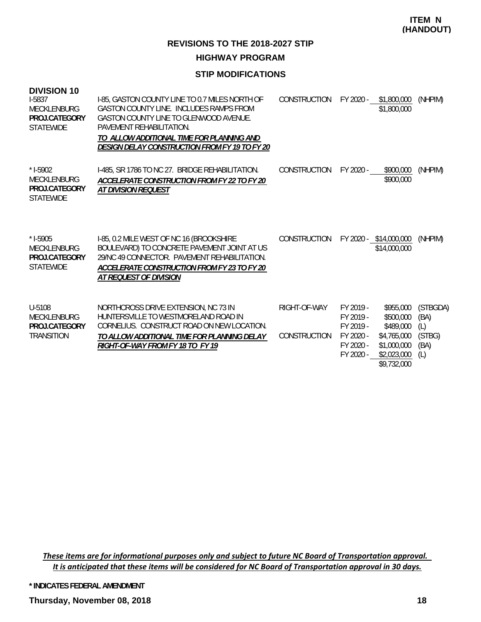**HIGHWAY PROGRAM**

# **STIP MODIFICATIONS**

| <b>DIVISION 10</b><br><b>I-5837</b><br>MECKLENBURG<br>PROJ.CATEGORY<br><b>STATEWIDE</b> | 1-85, GASTON COUNTY LINE TO 0.7 MILES NORTH OF<br>GASTON COUNTY LINE. INCLUDES RAMPS FROM<br>GASTON COUNTY LINE TO GLENWOOD AVENUE.<br>PAVEMENT REHABILITATION.<br>TO ALLOW ADDITIONAL TIME FOR PLANNING AND<br>DESIGN DELAY CONSTRUCTION FROM FY 19 TO FY 20 | <b>CONSTRUCTION</b>          | FY 2020 -<br>\$1,800,000<br>\$1,800,000                                                                                                                                       | (NHPIM)                                          |
|-----------------------------------------------------------------------------------------|---------------------------------------------------------------------------------------------------------------------------------------------------------------------------------------------------------------------------------------------------------------|------------------------------|-------------------------------------------------------------------------------------------------------------------------------------------------------------------------------|--------------------------------------------------|
| $*$ 1-5902<br>MECKLENBURG<br>PROJ.CATEGORY<br><b>STATEWIDE</b>                          | I-485, SR 1786 TO NC 27. BRIDGE REHABILITATION.<br>ACCELERATE CONSTRUCTION FROM FY 22 TO FY 20<br><b>AT DIVISION REQUEST</b>                                                                                                                                  | <b>CONSTRUCTION</b>          | FY 2020 -<br>\$900,000<br>\$900,000                                                                                                                                           | (NHPIM)                                          |
| $*$ 1-5905<br>MECKLENBURG<br>PROJ.CATEGORY<br><b>STATEWIDE</b>                          | I-85, 0.2 MILE WEST OF NC 16 (BROOKSHIRE<br>BOULEVARD) TO CONCRETE PAVEMENT JOINT AT US<br>29/NC 49 CONNECTOR. PAVEMENT REHABILITATION.<br>ACCELERATE CONSTRUCTION FROM FY 23 TO FY 20<br>AT REQUEST OF DIVISION                                              | CONSTRUCTION                 | FY 2020 - \$14,000,000<br>\$14,000,000                                                                                                                                        | (NHPIM)                                          |
| U-5108<br>MECKLENBURG<br>PROJ.CATEGORY<br><b>TRANSITION</b>                             | NORTHCROSS DRIVE EXTENSION, NC 73 IN<br>HUNTERSVILLE TO WESTMORELAND ROAD IN<br>CORNELIUS. CONSTRUCT ROAD ON NEW LOCATION.<br>TO ALLOW ADDITIONAL TIME FOR PLANNING DELAY<br>RIGHT-OF-WAY FROM FY 18 TO FY 19                                                 | RIGHT-OF-WAY<br>CONSTRUCTION | FY 2019 -<br>\$955,000<br>\$500,000<br>FY 2019 -<br>FY 2019 -<br>\$489,000<br>FY 2020 -<br>\$4,765,000<br>FY 2020 -<br>\$1,000,000<br>FY 2020 -<br>\$2,023,000<br>\$9,732,000 | (STBGDA)<br>(BA)<br>(L)<br>(STBG)<br>(BA)<br>(L) |

These items are for informational purposes only and subject to future NC Board of Transportation approval. It is anticipated that these items will be considered for NC Board of Transportation approval in 30 days.

**\* INDICATES FEDERAL AMENDMENT**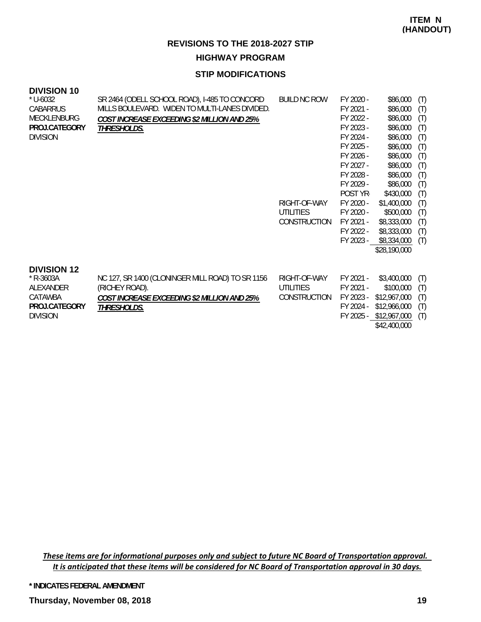# **HIGHWAY PROGRAM**

# **STIP MODIFICATIONS**

| * U-6032<br>CABARRUS<br>MECKLENBURG<br>PROJ.CATEGORY<br>Division                     | SR 2464 (ODELL SCHOOL ROAD), I-485 TO CONCORD<br>MILLS BOULEVARD. WIDEN TO MULTI-LANES DIVIDED.<br>COST INCREASE EXCEEDING \$2 MILLION AND 25%<br>THRESHOLDS. | <b>BUILD NC ROW</b>                                     | FY 2020 -<br>FY 2021 -<br>FY 2022 -<br>FY 2023 -<br>FY 2024 -<br>FY 2025 -<br>FY 2026 -                          | \$86,000<br>\$86,000<br>\$86,000<br>\$86,000<br>\$86,000<br>\$86,000<br>\$86,000                                                       | (T)<br>(T)<br>(T)<br>(T)<br>(T)<br>(T)<br>(T)               |
|--------------------------------------------------------------------------------------|---------------------------------------------------------------------------------------------------------------------------------------------------------------|---------------------------------------------------------|------------------------------------------------------------------------------------------------------------------|----------------------------------------------------------------------------------------------------------------------------------------|-------------------------------------------------------------|
|                                                                                      |                                                                                                                                                               | RIGHT-OF-WAY<br><b>UTILITIES</b><br><b>CONSTRUCTION</b> | FY 2027 -<br>FY 2028 -<br>FY 2029 -<br>POST YR-<br>FY 2020 -<br>FY 2020 -<br>FY 2021 -<br>FY 2022 -<br>FY 2023 - | \$86,000<br>\$86,000<br>\$86,000<br>\$430,000<br>\$1,400,000<br>\$500,000<br>\$8,333,000<br>\$8,333,000<br>\$8,334,000<br>\$28,190,000 | (T)<br>(T)<br>(T)<br>(T)<br>(T)<br>(T)<br>(T)<br>(T)<br>(T) |
| <b>DIVISION 12</b><br>* R-3603A<br>ALEXANDER<br>CATAWBA<br>PROJ.CATEGORY<br>division | NC 127, SR 1400 (CLONINGER MILL ROAD) TO SR 1156<br>(RICHEY ROAD).<br>COST INCREASE EXCEEDING \$2 MILLION AND 25%<br>THRESHOLDS.                              | RIGHT-OF-WAY<br><b>UTILITIES</b><br><b>CONSTRUCTION</b> | FY 2021 -<br>FY 2021 -<br>FY 2023 -<br>FY 2024 -                                                                 | \$3,400,000<br>\$100,000<br>\$12,967,000<br>\$12,966,000<br>FY 2025 - \$12,967,000<br>\$42,400,000                                     | (T)<br>(T)<br>(T)<br>(T)<br>(T)                             |

These items are for informational purposes only and subject to future NC Board of Transportation approval. It is anticipated that these items will be considered for NC Board of Transportation approval in 30 days.

**\* INDICATES FEDERAL AMENDMENT**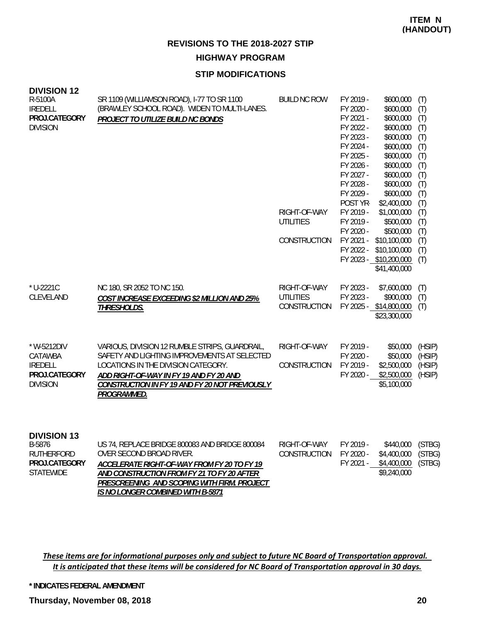**HIGHWAY PROGRAM**

# **STIP MODIFICATIONS**

| <b>DIVISION 12</b><br>R-5100A<br><b>IREDELL</b><br>PROJ.CATEGORY<br><b>DIVISION</b> | SR 1109 (WILLIAMSON ROAD), I-77 TO SR 1100<br>(BRAWLEY SCHOOL ROAD). WIDEN TO MULTI-LANES.<br>PROJECT TO UTILIZE BUILD NC BONDS                                                                                                                   | <b>BUILD NC ROW</b><br>RIGHT-OF-WAY<br><b>UTILITIES</b><br>CONSTRUCTION | FY 2019 -<br>FY 2020 -<br>FY 2021 -<br>FY 2022 -<br>FY 2023 -<br>FY 2024 -<br>FY 2025 -<br>FY 2026 -<br>FY 2027 -<br>FY 2028 -<br>FY 2029 -<br>POST YR-<br>FY 2019 -<br>FY 2019 -<br>FY 2020 -<br>FY 2021 -<br>FY 2022 - | \$600,000<br>\$600,000<br>\$600,000<br>\$600,000<br>\$600,000<br>\$600,000<br>\$600,000<br>\$600,000<br>\$600,000<br>\$600,000<br>\$600,000<br>\$2,400,000<br>\$1,000,000<br>\$500,000<br>\$500,000<br>\$10,100,000<br>\$10,100,000<br>FY 2023 - \$10,200,000<br>\$41,400,000 | (T)<br>(T)<br>(T)<br>(T)<br>(T)<br>(T)<br>(T)<br>(T)<br>(T)<br>(T)<br>(T)<br>(T)<br>(T)<br>(T)<br>(T)<br>(T)<br>(T)<br>(T) |
|-------------------------------------------------------------------------------------|---------------------------------------------------------------------------------------------------------------------------------------------------------------------------------------------------------------------------------------------------|-------------------------------------------------------------------------|--------------------------------------------------------------------------------------------------------------------------------------------------------------------------------------------------------------------------|-------------------------------------------------------------------------------------------------------------------------------------------------------------------------------------------------------------------------------------------------------------------------------|----------------------------------------------------------------------------------------------------------------------------|
| * U-2221C<br>CLEVELAND                                                              | NC 180, SR 2052 TO NC 150.<br>COST INCREASE EXCEEDING \$2 MILLION AND 25%<br>THRESHOLDS.                                                                                                                                                          | RIGHT-OF-WAY<br><b>UTILITIES</b><br>CONSTRUCTION                        | FY 2023 -<br>FY 2023 -                                                                                                                                                                                                   | \$7,600,000<br>\$900,000<br>FY 2025 - \$14,800,000<br>\$23,300,000                                                                                                                                                                                                            | (T)<br>(T)<br>(T)                                                                                                          |
| * W-5212DIV<br>CATAWBA<br><b>IREDELL</b><br>PROJ.CATEGORY<br><b>DIVISION</b>        | VARIOUS, DIVISION 12 RUMBLE STRIPS, GUARDRAIL,<br>SAFETY AND LIGHTING IMPROVEMENTS AT SELECTED<br>LOCATIONS IN THE DIVISION CATEGORY.<br>ADD RIGHT-OF-WAY IN FY 19 AND FY 20 AND<br>CONSTRUCTION IN FY 19 AND FY 20 NOT PREVIOUSLY<br>PROGRAMMED. | RIGHT-OF-WAY<br>CONSTRUCTION                                            | FY 2019 -<br>FY 2020 -<br>FY 2019 -<br>FY 2020 -                                                                                                                                                                         | \$50,000<br>\$50,000<br>\$2,500,000<br>\$2,500,000<br>\$5,100,000                                                                                                                                                                                                             | (HSIP)<br>(HSIP)<br>(HSIP)<br>(HSIP)                                                                                       |
| <b>DIVISION 13</b>                                                                  |                                                                                                                                                                                                                                                   |                                                                         |                                                                                                                                                                                                                          |                                                                                                                                                                                                                                                                               |                                                                                                                            |

| B-5876        | US 74, REPLACE BRIDGE 800083 AND BRIDGE 800084 | RIGHT-OF-WAY           | FY 2019 - | \$440.000   | (STBG) |
|---------------|------------------------------------------------|------------------------|-----------|-------------|--------|
| RUTHERFORD    | OVER SECOND BROAD RIVER.                       | CONSTRUCTION FY 2020 - |           | \$4,400,000 | (STBG) |
| PROJ.CATEGORY | ACCELERATE RIGHT-OF-WAY FROM FY 20 TO FY 19    |                        | FY 2021 - | \$4,400,000 | (STBG) |
| STATEWIDE     | AND CONSTRUCTION FROM FY 21 TO FY 20 AFTER     |                        |           | \$9,240,000 |        |
|               | PRESCREENING AND SCOPING WITH FIRM. PROJECT    |                        |           |             |        |
|               | IS NO LONGER COMBINED WITH B-5871              |                        |           |             |        |

These items are for informational purposes only and subject to future NC Board of Transportation approval. It is anticipated that these items will be considered for NC Board of Transportation approval in 30 days.

**\* INDICATES FEDERAL AMENDMENT**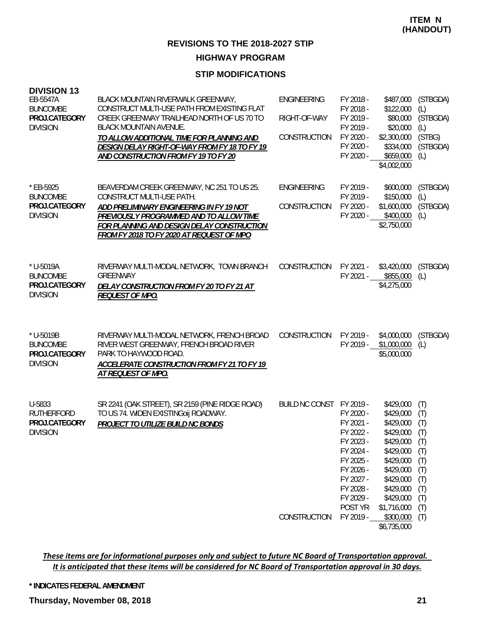# **STIP MODIFICATIONS**

| <b>DIVISION 13</b><br>EB-5547A<br><b>BUNCOMBE</b><br>PROJ.CATEGORY<br><b>DIVISION</b> | BLACK MOUNTAIN RIVERWALK GREENWAY,<br>CONSTRUCT MULTI-USE PATH FROM EXISTING FLAT<br>CREEK GREENWAY TRAILHEAD NORTH OF US 70 TO<br><b>BLACK MOUNTAIN AVENUE.</b><br>TO ALLOW ADDITIONAL TIME FOR PLANNING AND<br>DESIGN DELAY RIGHT-OF-WAY FROM FY 18 TO FY 19<br>AND CONSTRUCTION FROM FY 19 TO FY 20 | <b>ENGINEERING</b><br>RIGHT-OF-WAY<br>CONSTRUCTION | FY 2018 -<br>FY 2018 -<br>FY 2019 -<br>FY 2019 -<br>FY 2020 -<br>FY 2020 -<br>FY 2020 -                                                                 | \$487,000<br>\$122,000<br>\$80,000<br>\$20,000<br>\$2,300,000<br>\$334,000<br>\$659,000<br>\$4,002,000                                                                  | (STBGDA)<br>(L)<br>(STBGDA)<br>(L)<br>(STBG)<br>(STBGDA)<br>(L)                         |
|---------------------------------------------------------------------------------------|--------------------------------------------------------------------------------------------------------------------------------------------------------------------------------------------------------------------------------------------------------------------------------------------------------|----------------------------------------------------|---------------------------------------------------------------------------------------------------------------------------------------------------------|-------------------------------------------------------------------------------------------------------------------------------------------------------------------------|-----------------------------------------------------------------------------------------|
| * EB-5925<br><b>BUNCOMBE</b><br>PROJ.CATEGORY<br><b>DIVISION</b>                      | BEAVERDAM CREEK GREENWAY, NC 251 TO US 25.<br>CONSTRUCT MULTI-USE PATH.<br>ADD PRELIMINARY ENGINEERING IN FY 19 NOT<br>PREVIOUSLY PROGRAMMED AND TO ALLOW TIME<br>FOR PLANNING AND DESIGN DELAY CONSTRUCTION<br>FROM FY 2018 TO FY 2020 AT REQUEST OF MPO                                              | <b>ENGINEERING</b><br>CONSTRUCTION                 | FY 2019 -<br>FY 2019 -<br>FY 2020 -<br>FY 2020 -                                                                                                        | \$600,000<br>\$150,000<br>\$1,600,000<br>\$400,000<br>\$2,750,000                                                                                                       | (STBGDA)<br>(L)<br>(STBGDA)<br>(L)                                                      |
| * U-5019A<br><b>BUNCOMBE</b><br>PROJ.CATEGORY<br><b>DIVISION</b>                      | RIVERWAY MULTI-MODAL NETWORK, TOWN BRANCH<br><b>GREENWAY</b><br>DELAY CONSTRUCTION FROM FY 20 TO FY 21 AT<br><b>REQUEST OF MPO.</b>                                                                                                                                                                    | CONSTRUCTION                                       | FY 2021 -<br>FY 2021 -                                                                                                                                  | \$3,420,000<br>\$855,000<br>\$4,275,000                                                                                                                                 | (STBGDA)<br>(L)                                                                         |
| * U-5019B<br><b>BUNCOMBE</b><br>PROJ.CATEGORY<br><b>DIVISION</b>                      | RIVERWAY MULTI-MODAL NETWORK, FRENCH BROAD<br>RIVER WEST GREENWAY, FRENCH BROAD RIVER<br>PARK TO HAYWOOD ROAD.<br>ACCELERATE CONSTRUCTION FROM FY 21 TO FY 19<br>AT REQUEST OF MPO.                                                                                                                    | CONSTRUCTION                                       | FY 2019 -<br>FY 2019 -                                                                                                                                  | \$4,000,000<br>\$1,000,000<br>\$5,000,000                                                                                                                               | (STBGDA)<br>(L)                                                                         |
| U-5833<br>RUTHERFORD<br>PROJ.CATEGORY<br><b>DIVISION</b>                              | SR 2241 (OAK STREET), SR 2159 (PINE RIDGE ROAD)<br>TO US 74. WIDEN EXISTING0ij ROADWAY.<br>PROJECT TO UTILIZE BUILD NC BONDS                                                                                                                                                                           | BUILD NC CONST FY 2019 -<br>CONSTRUCTION           | FY 2020 -<br>FY 2021 -<br>FY 2022 -<br>FY 2023 -<br>FY 2024 -<br>FY 2025 -<br>FY 2026 -<br>FY 2027 -<br>FY 2028 -<br>FY 2029 -<br>POST YR-<br>FY 2019 - | \$429,000<br>\$429,000<br>\$429,000<br>\$429,000<br>\$429,000<br>\$429,000<br>\$429,000<br>\$429,000<br>\$429,000<br>\$429,000<br>\$429,000<br>\$1,716,000<br>\$300,000 | (T)<br>(T)<br>(T)<br>(T)<br>(T)<br>(T)<br>(T)<br>(T)<br>(T)<br>(T)<br>(T)<br>(T)<br>(T) |
|                                                                                       |                                                                                                                                                                                                                                                                                                        |                                                    |                                                                                                                                                         | \$6,735,000                                                                                                                                                             |                                                                                         |

These items are for informational purposes only and subject to future NC Board of Transportation approval. It is anticipated that these items will be considered for NC Board of Transportation approval in 30 days.

#### **\* INDICATES FEDERAL AMENDMENT**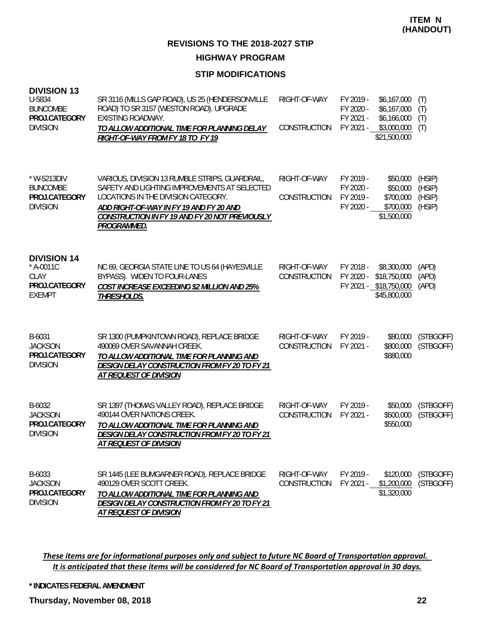# **HIGHWAY PROGRAM**

# **STIP MODIFICATIONS**

| <b>DIVISION 13</b><br>U-5834<br><b>BUNCOMBE</b><br>PROJ.CATEGORY<br><b>DIVISION</b> | SR 3116 (MILLS GAP ROAD), US 25 (HENDERSONVILLE<br>ROAD) TO SR 3157 (WESTON ROAD). UPGRADE<br><b>EXISTING ROADWAY.</b><br>TO ALLOW ADDITIONAL TIME FOR PLANNING DELAY<br>RIGHT-OF-WAY FROM FY 18 TO FY 19                                         | RIGHT-OF-WAY<br>CONSTRUCTION | FY 2019 -<br>FY 2020 -<br>FY 2021 -<br>FY 2021 - | \$6,167,000<br>\$6,167,000<br>\$6,166,000<br>\$3,000,000<br>\$21,500,000 | (T)<br>(T)<br>(T)<br>(T)             |
|-------------------------------------------------------------------------------------|---------------------------------------------------------------------------------------------------------------------------------------------------------------------------------------------------------------------------------------------------|------------------------------|--------------------------------------------------|--------------------------------------------------------------------------|--------------------------------------|
| * W-5213DIV<br><b>BUNCOMBE</b><br>PROJ.CATEGORY<br><b>DIVISION</b>                  | VARIOUS, DIVISION 13 RUMBLE STRIPS, GUARDRAIL,<br>SAFETY AND LIGHTING IMPROVEMENTS AT SELECTED<br>LOCATIONS IN THE DIVISION CATEGORY.<br>ADD RIGHT-OF-WAY IN FY 19 AND FY 20 AND<br>CONSTRUCTION IN FY 19 AND FY 20 NOT PREVIOUSLY<br>PROGRAMMED. | RIGHT-OF-WAY<br>CONSTRUCTION | FY 2019 -<br>FY 2020 -<br>FY 2019 -<br>FY 2020 - | \$50,000<br>\$50,000<br>\$700,000<br>\$700,000<br>\$1,500,000            | (HSIP)<br>(HSIP)<br>(HSIP)<br>(HSIP) |
| <b>DIVISION 14</b><br>* A-0011C<br><b>CLAY</b><br>PROJ.CATEGORY<br><b>EXEMPT</b>    | NC 69, GEORGIA STATE LINE TO US 64 (HAYESVILLE<br>BYPASS). WIDEN TO FOUR-LANES<br><b>COST INCREASE EXCEEDING \$2 MILLION AND 25%</b><br>THRESHOLDS.                                                                                               | RIGHT-OF-WAY<br>CONSTRUCTION | FY 2018 -<br>FY 2020 -                           | \$8,300,000<br>\$18,750,000<br>FY 2021 - \$18,750,000<br>\$45,800,000    | (APD)<br>(APD)<br>(APD)              |
| B-6031<br><b>JACKSON</b><br>PROJ.CATEGORY<br><b>DIVISION</b>                        | SR 1300 (PUMPKINTOWN ROAD), REPLACE BRIDGE<br>490069 OVER SAVANNAH CREEK.<br>TO ALLOW ADDITIONAL TIME FOR PLANNING AND<br><b>DESIGN DELAY CONSTRUCTION FROM FY 20 TO FY 21</b><br><b>AT REQUEST OF DIVISION</b>                                   | RIGHT-OF-WAY<br>CONSTRUCTION | FY 2019 -<br>FY 2021 -                           | \$80,000<br>\$800,000<br>\$880,000                                       | (STBGOFF)<br>(STBGOFF)               |
| B-6032<br><b>JACKSON</b><br>PROJ.CATEGORY<br><b>DIVISION</b>                        | SR 1397 (THOMAS VALLEY ROAD), REPLACE BRIDGE<br>490144 OVER NATIONS CREEK.<br>TO ALLOW ADDITIONAL TIME FOR PLANNING AND<br><b>DESIGN DELAY CONSTRUCTION FROM FY 20 TO FY 21</b><br>AT REQUEST OF DIVISION                                         | RIGHT-OF-WAY<br>CONSTRUCTION | FY 2019 -<br>FY 2021 -                           | \$50,000<br>\$500,000<br>\$550,000                                       | (STBGOFF)<br>(STBGOFF)               |
| B-6033<br><b>JACKSON</b><br>PROJ.CATEGORY<br><b>DIVISION</b>                        | SR 1445 (LEE BUMGARNER ROAD), REPLACE BRIDGE<br>490129 OVER SCOTT CREEK.<br>TO ALLOW ADDITIONAL TIME FOR PLANNING AND<br>DESIGN DELAY CONSTRUCTION FROM FY 20 TO FY 21<br><b>AT REQUEST OF DIVISION</b>                                           | RIGHT-OF-WAY<br>CONSTRUCTION | FY 2019 -<br>FY 2021 -                           | \$120,000<br>\$1,200,000<br>\$1,320,000                                  | (STBGOFF)<br>(STBGOFF)               |

These items are for informational purposes only and subject to future NC Board of Transportation approval. It is anticipated that these items will be considered for NC Board of Transportation approval in 30 days.

**\* INDICATES FEDERAL AMENDMENT**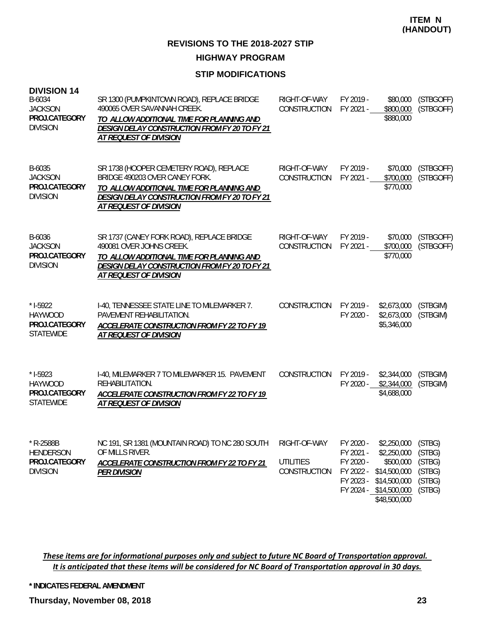#### **STIP MODIFICATIONS**

| <b>DIVISION 14</b><br>B-6034<br><b>JACKSON</b><br>PROJ.CATEGORY<br><b>DIVISION</b> | SR 1300 (PUMPKINTOWN ROAD), REPLACE BRIDGE<br>490065 OVER SAVANNAH CREEK.<br>TO ALLOW ADDITIONAL TIME FOR PLANNING AND<br>DESIGN DELAY CONSTRUCTION FROM FY 20 TO FY 21<br>AT REQUEST OF DIVISION               | RIGHT-OF-WAY<br>CONSTRUCTION                     | FY 2019 -<br>\$80,000<br>FY 2021 -<br>\$800,000<br>\$880,000                                                                                                                       | (STBGOFF)<br>(STBGOFF)                                   |
|------------------------------------------------------------------------------------|-----------------------------------------------------------------------------------------------------------------------------------------------------------------------------------------------------------------|--------------------------------------------------|------------------------------------------------------------------------------------------------------------------------------------------------------------------------------------|----------------------------------------------------------|
| B-6035<br><b>JACKSON</b><br>PROJ.CATEGORY<br><b>DIVISION</b>                       | SR 1738 (HOOPER CEMETERY ROAD), REPLACE<br>BRIDGE 490203 OVER CANEY FORK.<br>TO ALLOW ADDITIONAL TIME FOR PLANNING AND<br><b>DESIGN DELAY CONSTRUCTION FROM FY 20 TO FY 21</b><br><u>AT REQUEST OF DIVISION</u> | RIGHT-OF-WAY<br><b>CONSTRUCTION</b>              | FY 2019 -<br>\$70,000<br>FY 2021 -<br>\$700,000<br>\$770,000                                                                                                                       | (STBGOFF)<br>(STBGOFF)                                   |
| B-6036<br><b>JACKSON</b><br>PROJ.CATEGORY<br><b>DIVISION</b>                       | SR 1737 (CANEY FORK ROAD), REPLACE BRIDGE<br>490081 OVER JOHNS CREEK.<br>TO ALLOW ADDITIONAL TIME FOR PLANNING AND<br><b>DESIGN DELAY CONSTRUCTION FROM FY 20 TO FY 21</b><br>AT REQUEST OF DIVISION            | RIGHT-OF-WAY<br>CONSTRUCTION                     | FY 2019 -<br>\$70,000<br>\$700,000<br>FY 2021 -<br>\$770,000                                                                                                                       | (STBGOFF)<br>(STBGOFF)                                   |
| $*$ 1-5922<br><b>HAYWOOD</b><br>PROJ.CATEGORY<br><b>STATEWIDE</b>                  | I-40, TENNESSEE STATE LINE TO MILEMARKER 7.<br>PAVEMENT REHABILITATION.<br>ACCELERATE CONSTRUCTION FROM FY 22 TO FY 19<br>AT REQUEST OF DIVISION                                                                | CONSTRUCTION                                     | FY 2019 -<br>\$2,673,000<br>FY 2020 -<br>\$2,673,000<br>\$5,346,000                                                                                                                | (STBGIM)<br>(STBGIM)                                     |
| $* I-5923$<br><b>HAYWOOD</b><br>PROJ.CATEGORY<br><b>STATEWIDE</b>                  | 1-40, MILEMARKER 7 TO MILEMARKER 15. PAVEMENT<br>REHABILITATION.<br><b>ACCELERATE CONSTRUCTION FROM FY 22 TO FY 19</b><br><b>AT REQUEST OF DIVISION</b>                                                         | CONSTRUCTION                                     | FY 2019 -<br>\$2,344,000<br>\$2,344,000<br>FY 2020 -<br>\$4,688,000                                                                                                                | (STBGIM)<br>(STBGIM)                                     |
| * R-2588B<br><b>HENDERSON</b><br>PROJ.CATEGORY<br><b>DIVISION</b>                  | NC 191, SR 1381 (MOUNTAIN ROAD) TO NC 280 SOUTH<br>OF MILLS RIVER.<br><b>ACCELERATE CONSTRUCTION FROM FY 22 TO FY 21</b><br><b>PER DIVISION</b>                                                                 | RIGHT-OF-WAY<br><b>UTILITIES</b><br>CONSTRUCTION | FY 2020 -<br>\$2,250,000<br>FY 2021 -<br>\$2,250,000<br>FY 2020 -<br>\$500,000<br>FY 2022 -<br>\$14,500,000<br>FY 2023 -<br>\$14,500,000<br>FY 2024 - \$14,500,000<br>\$48,500,000 | (STBG)<br>(STBG)<br>(STBG)<br>(STBG)<br>(STBG)<br>(STBG) |

These items are for informational purposes only and subject to future NC Board of Transportation approval. It is anticipated that these items will be considered for NC Board of Transportation approval in 30 days.

**\* INDICATES FEDERAL AMENDMENT**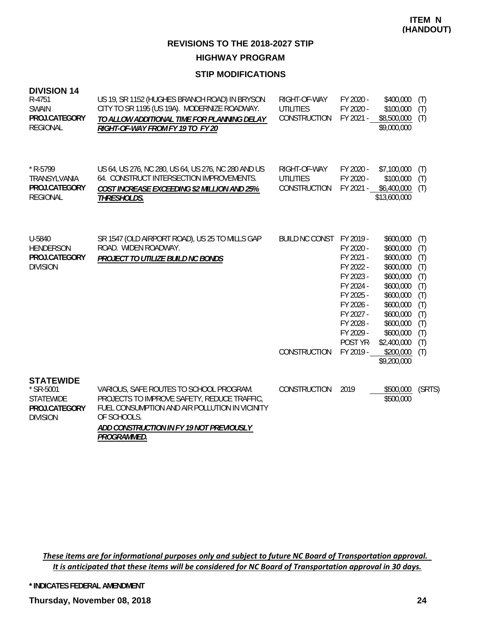#### **STIP MODIFICATIONS**

| <b>DIVISION 14</b><br>R-4751<br><b>SWAIN</b><br>PROJ.CATEGORY<br><b>REGIONAL</b>      | US 19, SR 1152 (HUGHES BRANCH ROAD) IN BRYSON<br>CITY TO SR 1195 (US 19A). MODERNIZE ROADWAY.<br>TO ALLOW ADDITIONAL TIME FOR PLANNING DELAY<br>RIGHT-OF-WAY FROM FY 19 TO FY 20                                   | RIGHT-OF-WAY<br><b>UTILITIES</b><br>CONSTRUCTION | FY 2020 -<br>FY 2020 -<br>FY 2021 -                                                                                                        | \$400,000<br>\$100,000<br>\$8,500,000<br>\$9,000,000                                                                                                       | (T)<br>(T)<br>(T)                                                                |
|---------------------------------------------------------------------------------------|--------------------------------------------------------------------------------------------------------------------------------------------------------------------------------------------------------------------|--------------------------------------------------|--------------------------------------------------------------------------------------------------------------------------------------------|------------------------------------------------------------------------------------------------------------------------------------------------------------|----------------------------------------------------------------------------------|
| $*$ R-5799<br>TRANSYLVANIA<br>PROJ.CATEGORY<br><b>REGIONAL</b>                        | US 64, US 276, NC 280, US 64, US 276, NC 280 AND US<br>64. CONSTRUCT INTERSECTION IMPROVEMENTS.<br>COST INCREASE EXCEEDING \$2 MILLION AND 25%<br>THRESHOLDS.                                                      | RIGHT-OF-WAY<br><b>UTILITIES</b><br>CONSTRUCTION | FY 2020 -<br>FY 2020 -<br>FY 2021 -                                                                                                        | \$7,100,000<br>\$100,000<br>\$6,400,000<br>\$13,600,000                                                                                                    | (T)<br>(T)<br>(T)                                                                |
| U-5840<br><b>HENDERSON</b><br>PROJ.CATEGORY<br><b>DIVISION</b>                        | SR 1547 (OLD AIRPORT ROAD), US 25 TO MILLS GAP<br>ROAD. WIDEN ROADWAY.<br>PROJECT TO UTILIZE BUILD NC BONDS                                                                                                        | BUILD NC CONST FY 2019 -                         | FY 2020 -<br>FY 2021 -<br>FY 2022 -<br>FY 2023 -<br>FY 2024 -<br>FY 2025 -<br>FY 2026 -<br>FY 2027 -<br>FY 2028 -<br>FY 2029 -<br>POST YR- | \$600,000<br>\$600,000<br>\$600,000<br>\$600,000<br>\$600,000<br>\$600,000<br>\$600,000<br>\$600,000<br>\$600,000<br>\$600,000<br>\$600,000<br>\$2,400,000 | (T)<br>(T)<br>(T)<br>(T)<br>(T)<br>(T)<br>(T)<br>(T)<br>(T)<br>(T)<br>(T)<br>(T) |
|                                                                                       |                                                                                                                                                                                                                    | CONSTRUCTION                                     | FY 2019 -                                                                                                                                  | \$200,000<br>\$9,200,000                                                                                                                                   | (T)                                                                              |
| <b>STATEWIDE</b><br>* SR-5001<br><b>STATEWIDE</b><br>PROJ.CATEGORY<br><b>DIVISION</b> | VARIOUS, SAFE ROUTES TO SCHOOL PROGRAM.<br>PROJECTS TO IMPROVE SAFETY, REDUCE TRAFFIC,<br>FUEL CONSUMPTION AND AIR POLLUTION IN VICINITY<br>OF SCHOOLS.<br>ADD CONSTRUCTION IN FY 19 NOT PREVIOUSLY<br>PROGRAMMED. | CONSTRUCTION                                     | 2019                                                                                                                                       | \$500,000<br>\$500,000                                                                                                                                     | (SRTS)                                                                           |

These items are for informational purposes only and subject to future NC Board of Transportation approval. It is anticipated that these items will be considered for NC Board of Transportation approval in 30 days.

**\* INDICATES FEDERAL AMENDMENT**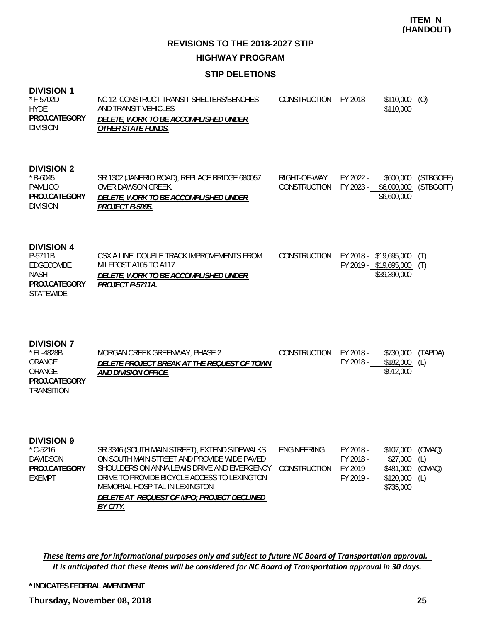**ITEM N (HANDOUT)**

**REVISIONS TO THE 2018-2027 STIP HIGHWAY PROGRAM**

#### **STIP DELETIONS**

#### **DIVISION 1**

| ----------<br>* F-5702D<br><b>HYDE</b> | NC 12, CONSTRUCT TRANSIT SHELTERS/BENCHES<br>AND TRANSIT VEHICLES | CONSTRUCTION FY 2018 - | \$110,000<br>\$110,000 | (O) |
|----------------------------------------|-------------------------------------------------------------------|------------------------|------------------------|-----|
| PROJ.CATEGORY                          | <i>DELETE, WORK TO BE ACCOMPLISHED UNDER</i>                      |                        |                        |     |
| <b>DIVISION</b>                        | <i>OTHER STATE FUNDS.</i>                                         |                        |                        |     |

#### **DIVISION 2**

| $*$ B-6045      | SR 1302 (JANERIO ROAD), REPLACE BRIDGE 680057 | RIGHT-OF-WAY           | FY 2022 - |                       | \$600,000 (STBGOFF) |
|-----------------|-----------------------------------------------|------------------------|-----------|-----------------------|---------------------|
| PAMLICO         | OVER DAWSON CREEK.                            | CONSTRUCTION FY 2023 - |           | \$6,000,000 (STBGOFF) |                     |
| PROJ.CATEGORY   | DELETE, WORK TO BE ACCOMPLISHED UNDER         |                        |           | \$6,600,000           |                     |
| <b>DIVISION</b> | <i>PROJECT B-5995.</i>                        |                        |           |                       |                     |

#### **DIVISION 4**

| P-5711B          | CSX A LINE, DOUBLE TRACK IMPROVEMENTS FROM   | CONSTRUCTION FY 2018 - \$19,695,000 (T) |                            |  |
|------------------|----------------------------------------------|-----------------------------------------|----------------------------|--|
| EDGECOMBE        | MILEPOST A105 TO A117                        |                                         | FY 2019 - \$19,695,000 (T) |  |
| NASH             | <i>DELETE, WORK TO BE ACCOMPLISHED UNDER</i> |                                         | \$39,390,000               |  |
| PROJ.CATEGORY    | <i>PROJECT P-5711A.</i>                      |                                         |                            |  |
| <b>STATEWIDE</b> |                                              |                                         |                            |  |

#### **DIVISION 7**

| * EL-4828B        | MORGAN CREEK GREENWAY, PHASE 2              | CONSTRUCTION FY 2018 - |           | \$730.000 | (TAPDA) |
|-------------------|---------------------------------------------|------------------------|-----------|-----------|---------|
| ORANGE            | DELETE PROJECT BREAK AT THE REOUEST OF TOWN |                        | FY 2018 - | \$182,000 | (L)     |
| ORANGE            | AND DIVISION OFFICE.                        |                        |           | \$912,000 |         |
| PROJ.CATEGORY     |                                             |                        |           |           |         |
| <b>TRANSITION</b> |                                             |                        |           |           |         |

#### **DIVISION 9**

| $^*$ C-5216   | SR 3346 (SOUTH MAIN STREET), EXTEND SIDEWALKS | ENGINEERING  | FY 2018 - | \$107,000        | (CMAQ) |
|---------------|-----------------------------------------------|--------------|-----------|------------------|--------|
| DAVIDSON      | ON SOUTH MAIN STREET AND PROVIDE WIDE PAVED   |              | FY 2018 - | \$27,000         | (L)    |
| PROJ.CATEGORY | SHOULDERS ON ANNA LEWIS DRIVE AND EMERGENCY   | CONSTRUCTION | FY 2019 - | \$481,000 (CMAQ) |        |
| FXFMPT        | DRIVE TO PROVIDE BICYCLE ACCESS TO LEXINGTON  |              | FY 2019 - | $$120,000$ (L)   |        |
|               | MEMORIAL HOSPITAL IN LEXINGTON.               |              |           | \$735,000        |        |
|               | DELETE AT REQUEST OF MPO; PROJECT DECLINED    |              |           |                  |        |
|               | BY CITY.                                      |              |           |                  |        |

These items are for informational purposes only and subject to future NC Board of Transportation approval. It is anticipated that these items will be considered for NC Board of Transportation approval in 30 days.

**\* INDICATES FEDERAL AMENDMENT**